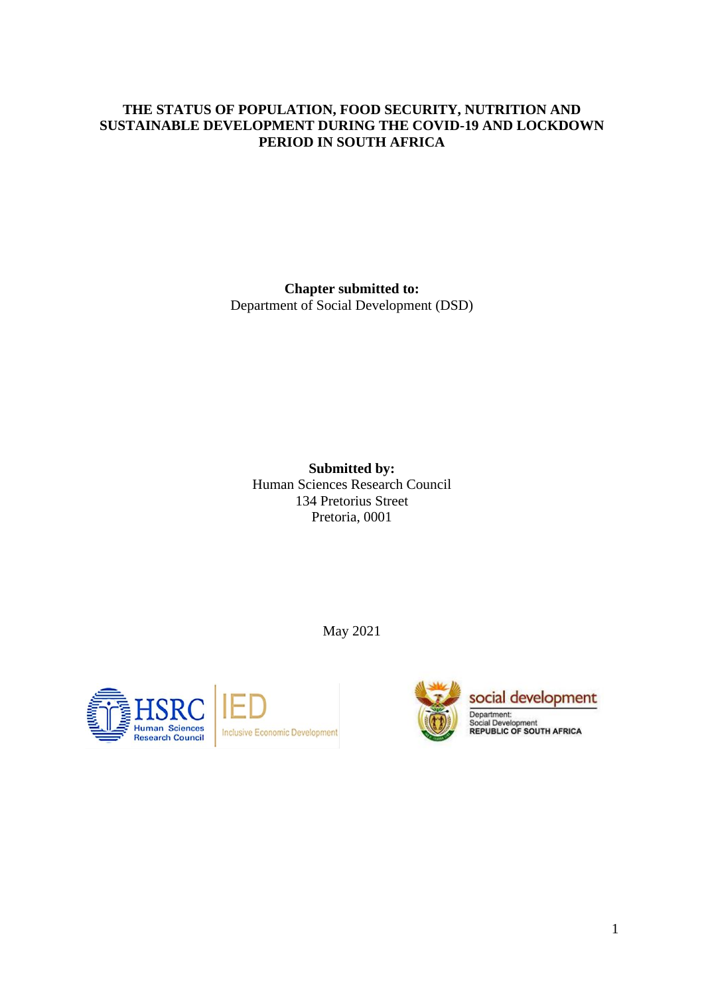## **THE STATUS OF POPULATION, FOOD SECURITY, NUTRITION AND SUSTAINABLE DEVELOPMENT DURING THE COVID-19 AND LOCKDOWN PERIOD IN SOUTH AFRICA**

**Chapter submitted to:**

Department of Social Development (DSD)

**Submitted by:** Human Sciences Research Council 134 Pretorius Street Pretoria, 0001

May 2021



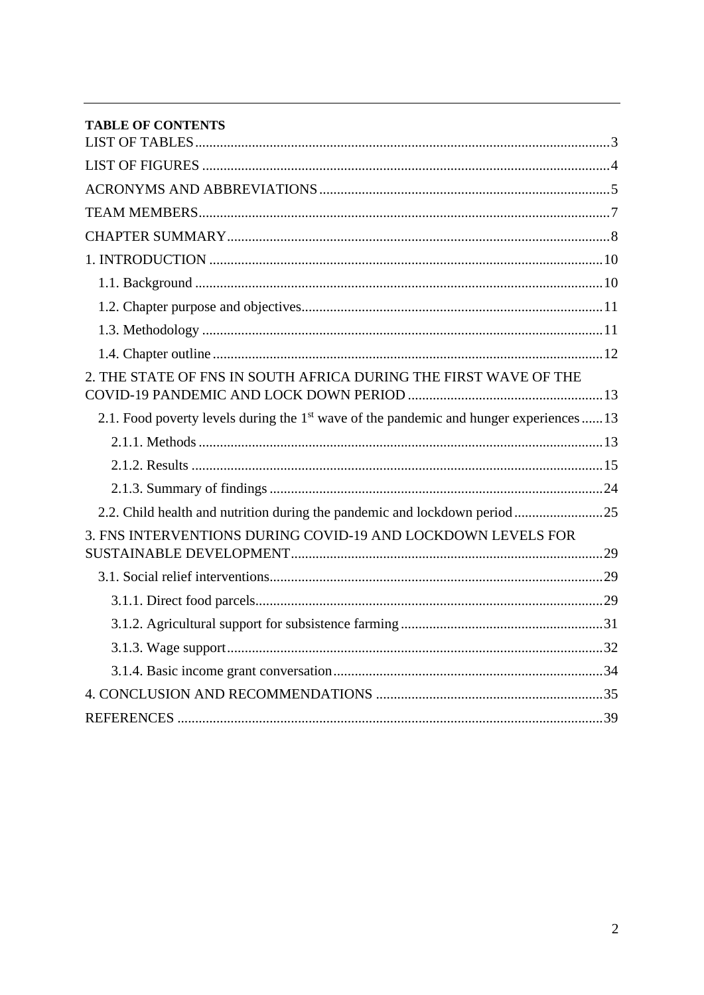| <b>TABLE OF CONTENTS</b>                                                                            |  |
|-----------------------------------------------------------------------------------------------------|--|
|                                                                                                     |  |
|                                                                                                     |  |
|                                                                                                     |  |
|                                                                                                     |  |
|                                                                                                     |  |
|                                                                                                     |  |
|                                                                                                     |  |
|                                                                                                     |  |
|                                                                                                     |  |
|                                                                                                     |  |
| 2. THE STATE OF FNS IN SOUTH AFRICA DURING THE FIRST WAVE OF THE                                    |  |
| 2.1. Food poverty levels during the 1 <sup>st</sup> wave of the pandemic and hunger experiences  13 |  |
|                                                                                                     |  |
|                                                                                                     |  |
|                                                                                                     |  |
| 2.2. Child health and nutrition during the pandemic and lockdown period25                           |  |
| 3. FNS INTERVENTIONS DURING COVID-19 AND LOCKDOWN LEVELS FOR                                        |  |
|                                                                                                     |  |
|                                                                                                     |  |
|                                                                                                     |  |
|                                                                                                     |  |
|                                                                                                     |  |
|                                                                                                     |  |
|                                                                                                     |  |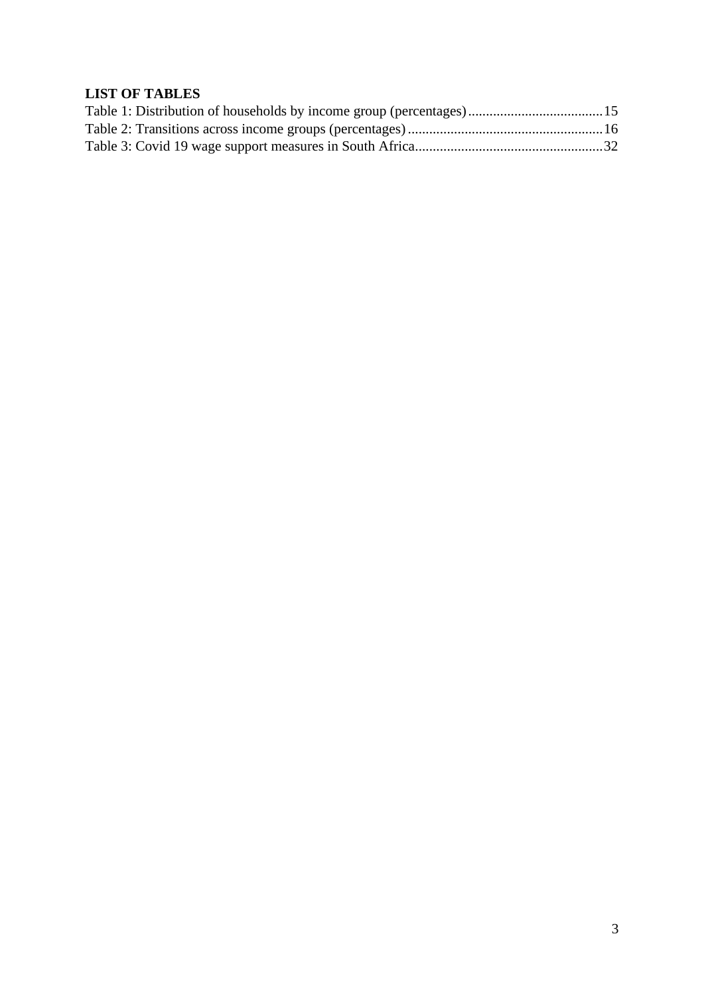# <span id="page-2-0"></span>**LIST OF TABLES**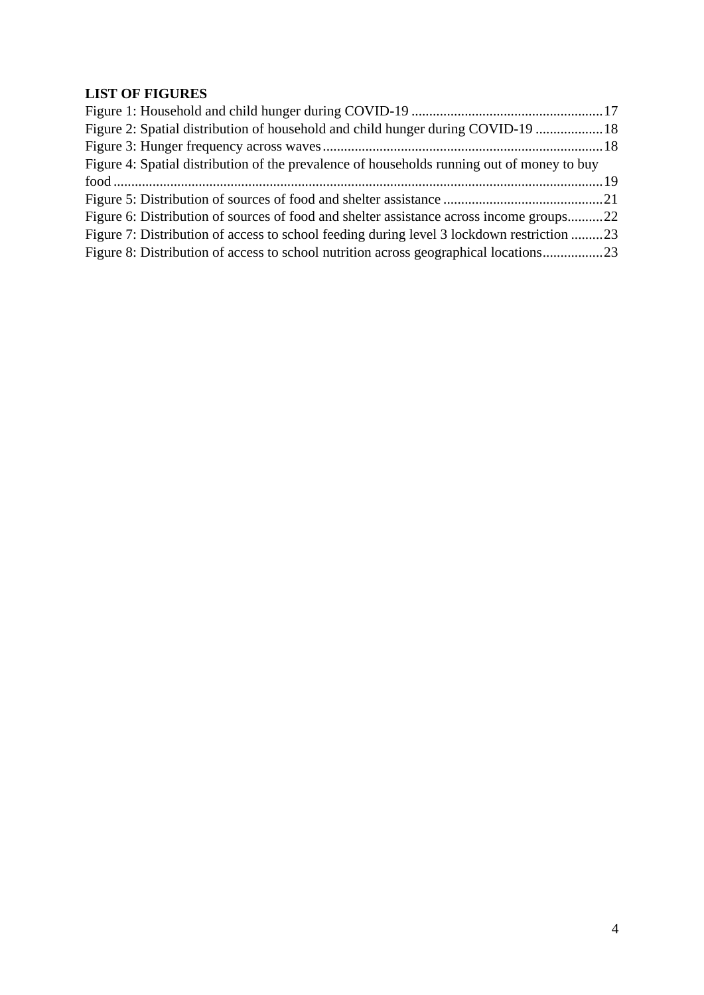# <span id="page-3-0"></span>**LIST OF FIGURES**

| Figure 2: Spatial distribution of household and child hunger during COVID-19  18           |  |
|--------------------------------------------------------------------------------------------|--|
|                                                                                            |  |
| Figure 4: Spatial distribution of the prevalence of households running out of money to buy |  |
|                                                                                            |  |
|                                                                                            |  |
| Figure 6: Distribution of sources of food and shelter assistance across income groups22    |  |
| Figure 7: Distribution of access to school feeding during level 3 lockdown restriction 23  |  |
| Figure 8: Distribution of access to school nutrition across geographical locations23       |  |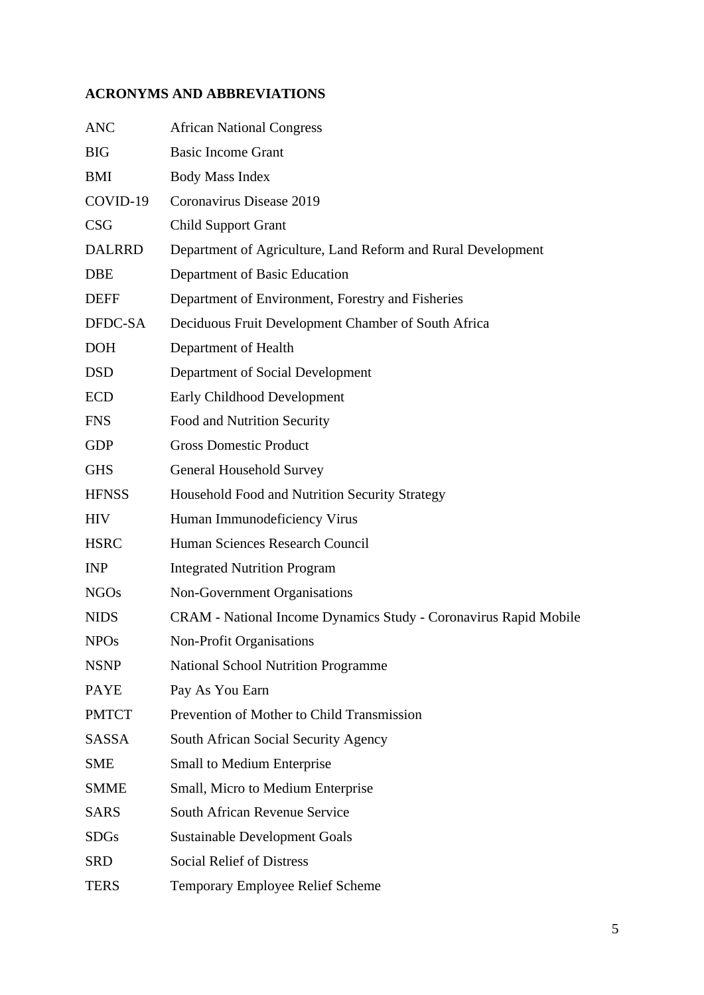# <span id="page-4-0"></span>**ACRONYMS AND ABBREVIATIONS**

| <b>ANC</b>    | <b>African National Congress</b>                                 |
|---------------|------------------------------------------------------------------|
| <b>BIG</b>    | <b>Basic Income Grant</b>                                        |
| <b>BMI</b>    | <b>Body Mass Index</b>                                           |
| COVID-19      | Coronavirus Disease 2019                                         |
| <b>CSG</b>    | <b>Child Support Grant</b>                                       |
| <b>DALRRD</b> | Department of Agriculture, Land Reform and Rural Development     |
| <b>DBE</b>    | Department of Basic Education                                    |
| <b>DEFF</b>   | Department of Environment, Forestry and Fisheries                |
| DFDC-SA       | Deciduous Fruit Development Chamber of South Africa              |
| <b>DOH</b>    | Department of Health                                             |
| <b>DSD</b>    | Department of Social Development                                 |
| <b>ECD</b>    | <b>Early Childhood Development</b>                               |
| <b>FNS</b>    | Food and Nutrition Security                                      |
| <b>GDP</b>    | <b>Gross Domestic Product</b>                                    |
| <b>GHS</b>    | <b>General Household Survey</b>                                  |
| <b>HFNSS</b>  | Household Food and Nutrition Security Strategy                   |
| <b>HIV</b>    | Human Immunodeficiency Virus                                     |
| <b>HSRC</b>   | Human Sciences Research Council                                  |
| <b>INP</b>    | <b>Integrated Nutrition Program</b>                              |
| <b>NGOs</b>   | Non-Government Organisations                                     |
| <b>NIDS</b>   | CRAM - National Income Dynamics Study - Coronavirus Rapid Mobile |
| <b>NPOs</b>   | <b>Non-Profit Organisations</b>                                  |
| <b>NSNP</b>   | <b>National School Nutrition Programme</b>                       |
| <b>PAYE</b>   | Pay As You Earn                                                  |
| <b>PMTCT</b>  | Prevention of Mother to Child Transmission                       |
| <b>SASSA</b>  | South African Social Security Agency                             |
| <b>SME</b>    | <b>Small to Medium Enterprise</b>                                |
| <b>SMME</b>   | Small, Micro to Medium Enterprise                                |
| <b>SARS</b>   | South African Revenue Service                                    |
| <b>SDGs</b>   | <b>Sustainable Development Goals</b>                             |
| <b>SRD</b>    | <b>Social Relief of Distress</b>                                 |
| <b>TERS</b>   | Temporary Employee Relief Scheme                                 |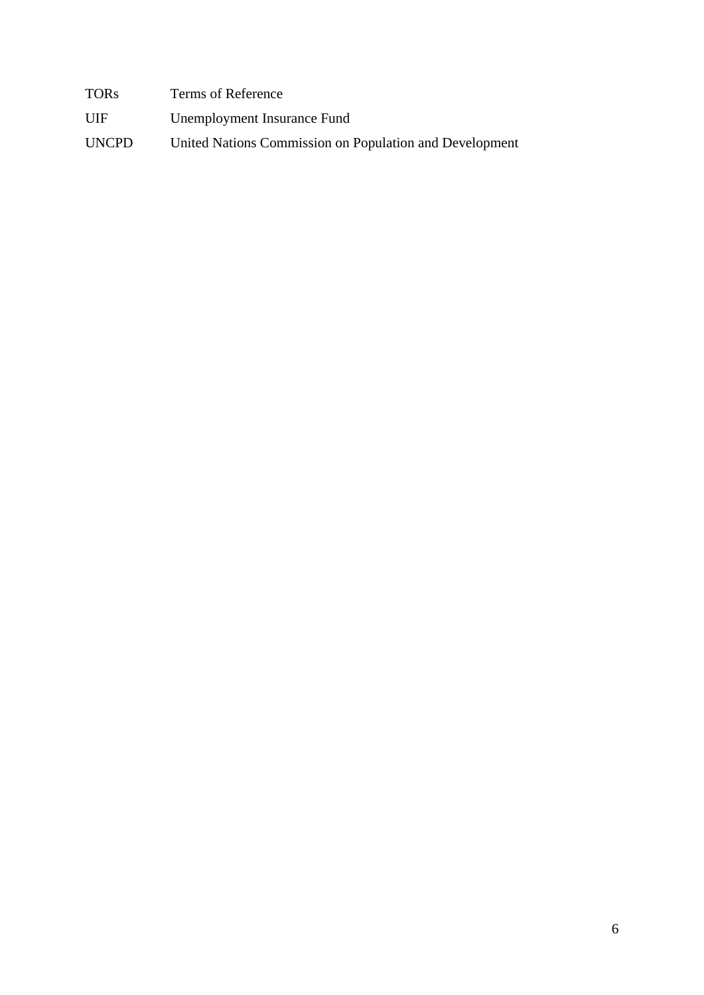TORs Terms of Reference

UIF Unemployment Insurance Fund

UNCPD United Nations Commission on Population and Development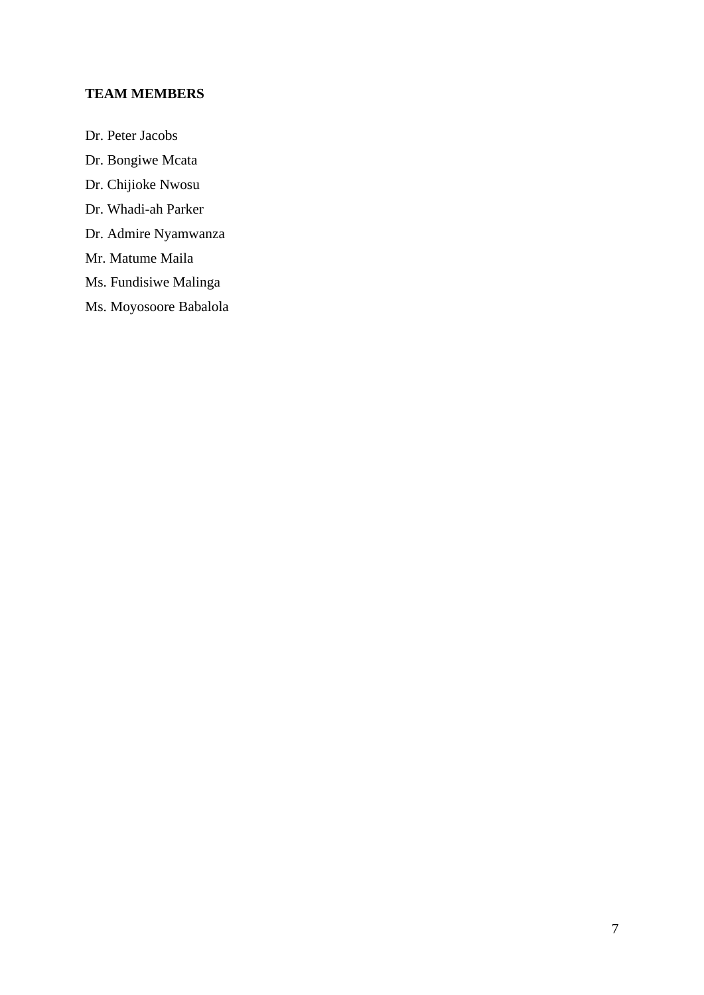## <span id="page-6-0"></span>**TEAM MEMBERS**

- Dr. Peter Jacobs
- Dr. Bongiwe Mcata
- Dr. Chijioke Nwosu
- Dr. Whadi-ah Parker
- Dr. Admire Nyamwanza
- Mr. Matume Maila
- Ms. Fundisiwe Malinga
- Ms. Moyosoore Babalola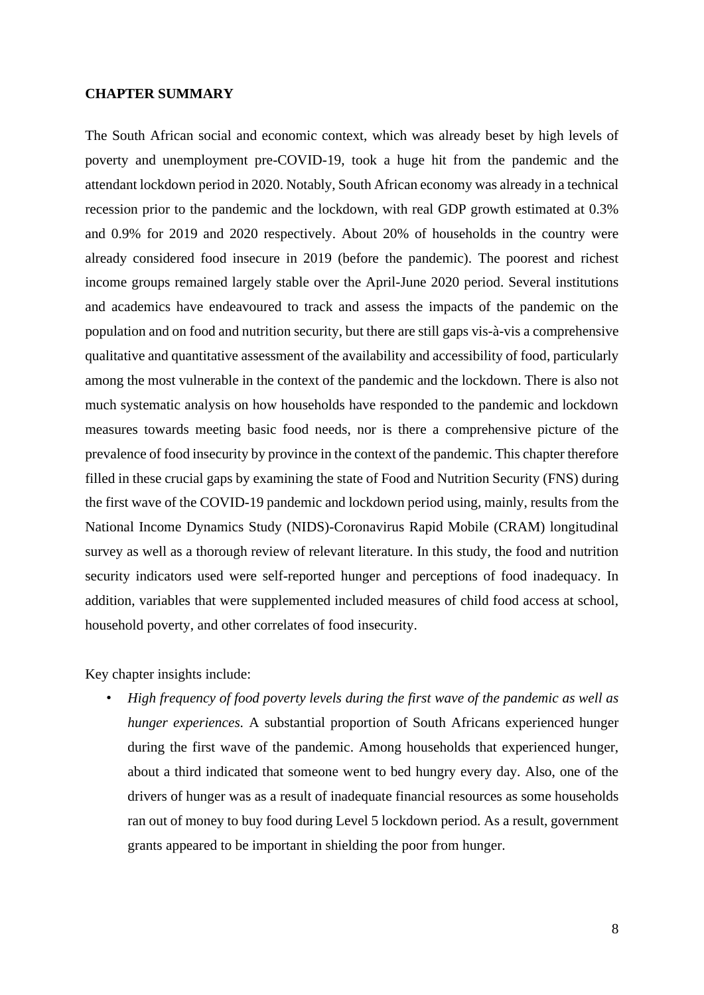### <span id="page-7-0"></span>**CHAPTER SUMMARY**

The South African social and economic context, which was already beset by high levels of poverty and unemployment pre-COVID-19, took a huge hit from the pandemic and the attendant lockdown period in 2020. Notably, South African economy was already in a technical recession prior to the pandemic and the lockdown, with real GDP growth estimated at 0.3% and 0.9% for 2019 and 2020 respectively. About 20% of households in the country were already considered food insecure in 2019 (before the pandemic). The poorest and richest income groups remained largely stable over the April-June 2020 period. Several institutions and academics have endeavoured to track and assess the impacts of the pandemic on the population and on food and nutrition security, but there are still gaps vis-à-vis a comprehensive qualitative and quantitative assessment of the availability and accessibility of food, particularly among the most vulnerable in the context of the pandemic and the lockdown. There is also not much systematic analysis on how households have responded to the pandemic and lockdown measures towards meeting basic food needs, nor is there a comprehensive picture of the prevalence of food insecurity by province in the context of the pandemic. This chapter therefore filled in these crucial gaps by examining the state of Food and Nutrition Security (FNS) during the first wave of the COVID-19 pandemic and lockdown period using, mainly, results from the National Income Dynamics Study (NIDS)-Coronavirus Rapid Mobile (CRAM) longitudinal survey as well as a thorough review of relevant literature. In this study, the food and nutrition security indicators used were self-reported hunger and perceptions of food inadequacy. In addition, variables that were supplemented included measures of child food access at school, household poverty, and other correlates of food insecurity.

Key chapter insights include:

• *High frequency of food poverty levels during the first wave of the pandemic as well as hunger experiences.* A substantial proportion of South Africans experienced hunger during the first wave of the pandemic. Among households that experienced hunger, about a third indicated that someone went to bed hungry every day. Also, one of the drivers of hunger was as a result of inadequate financial resources as some households ran out of money to buy food during Level 5 lockdown period. As a result, government grants appeared to be important in shielding the poor from hunger.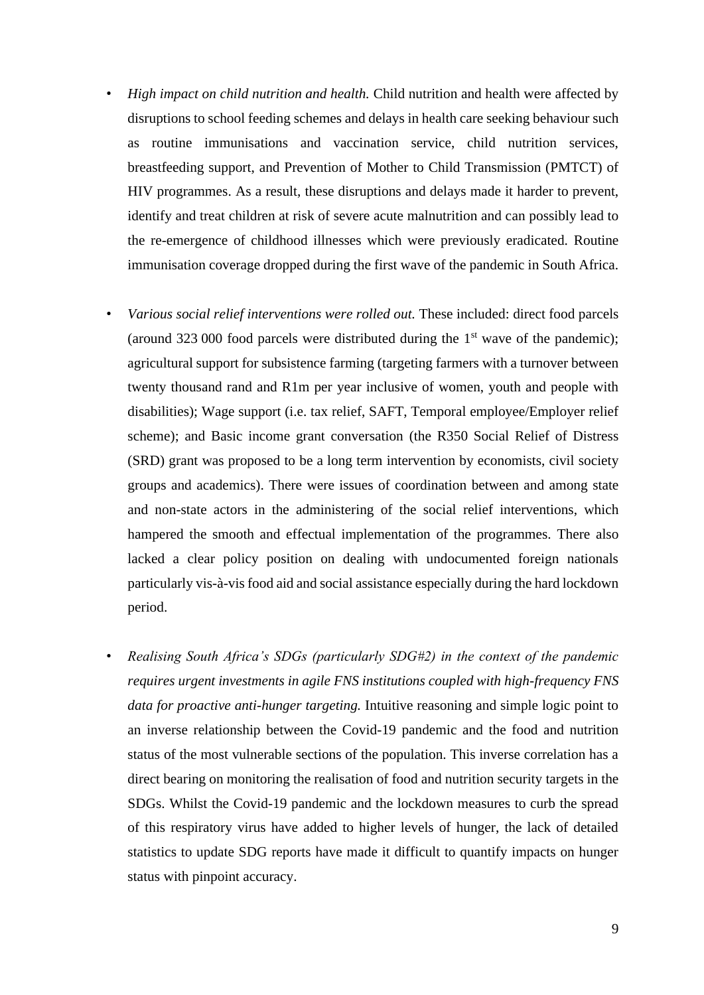- *High impact on child nutrition and health.* Child nutrition and health were affected by disruptions to school feeding schemes and delays in health care seeking behaviour such as routine immunisations and vaccination service, child nutrition services, breastfeeding support, and Prevention of Mother to Child Transmission (PMTCT) of HIV programmes. As a result, these disruptions and delays made it harder to prevent, identify and treat children at risk of severe acute malnutrition and can possibly lead to the re-emergence of childhood illnesses which were previously eradicated. Routine immunisation coverage dropped during the first wave of the pandemic in South Africa.
- *Various social relief interventions were rolled out.* These included: direct food parcels (around 323 000 food parcels were distributed during the  $1<sup>st</sup>$  wave of the pandemic); agricultural support for subsistence farming (targeting farmers with a turnover between twenty thousand rand and R1m per year inclusive of women, youth and people with disabilities); Wage support (i.e. tax relief, SAFT, Temporal employee/Employer relief scheme); and Basic income grant conversation (the R350 Social Relief of Distress (SRD) grant was proposed to be a long term intervention by economists, civil society groups and academics). There were issues of coordination between and among state and non-state actors in the administering of the social relief interventions, which hampered the smooth and effectual implementation of the programmes. There also lacked a clear policy position on dealing with undocumented foreign nationals particularly vis-à-vis food aid and social assistance especially during the hard lockdown period.
- *Realising South Africa's SDGs (particularly SDG#2) in the context of the pandemic requires urgent investments in agile FNS institutions coupled with high-frequency FNS data for proactive anti-hunger targeting.* Intuitive reasoning and simple logic point to an inverse relationship between the Covid-19 pandemic and the food and nutrition status of the most vulnerable sections of the population. This inverse correlation has a direct bearing on monitoring the realisation of food and nutrition security targets in the SDGs. Whilst the Covid-19 pandemic and the lockdown measures to curb the spread of this respiratory virus have added to higher levels of hunger, the lack of detailed statistics to update SDG reports have made it difficult to quantify impacts on hunger status with pinpoint accuracy.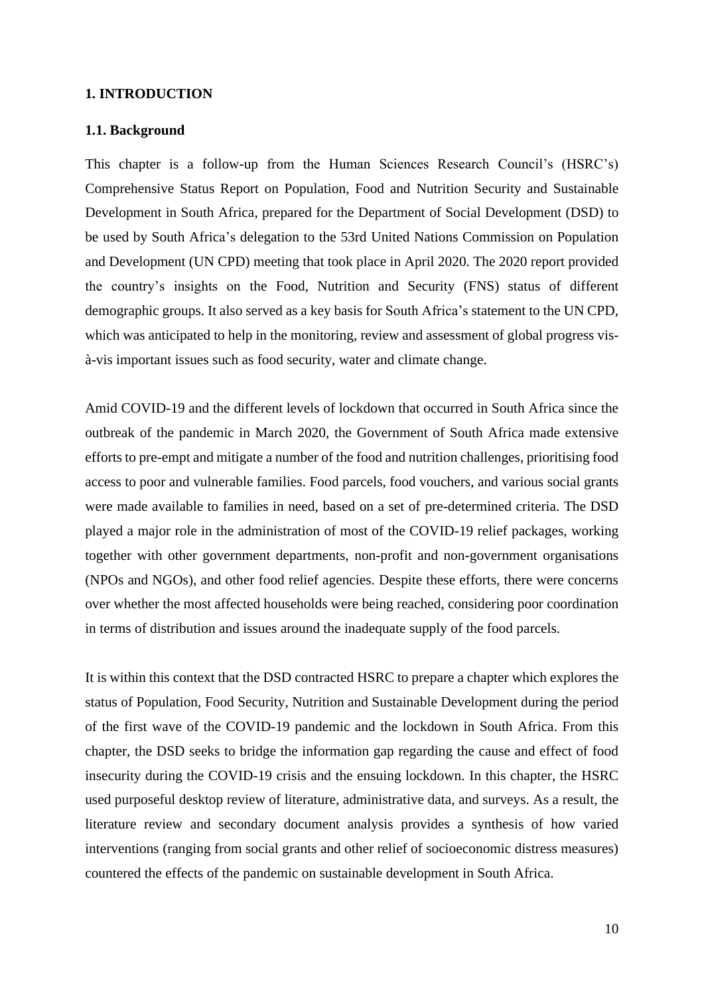### <span id="page-9-0"></span>**1. INTRODUCTION**

#### <span id="page-9-1"></span>**1.1. Background**

This chapter is a follow-up from the Human Sciences Research Council's (HSRC's) Comprehensive Status Report on Population, Food and Nutrition Security and Sustainable Development in South Africa, prepared for the Department of Social Development (DSD) to be used by South Africa's delegation to the 53rd United Nations Commission on Population and Development (UN CPD) meeting that took place in April 2020. The 2020 report provided the country's insights on the Food, Nutrition and Security (FNS) status of different demographic groups. It also served as a key basis for South Africa's statement to the UN CPD, which was anticipated to help in the monitoring, review and assessment of global progress visà-vis important issues such as food security, water and climate change.

Amid COVID-19 and the different levels of lockdown that occurred in South Africa since the outbreak of the pandemic in March 2020, the Government of South Africa made extensive efforts to pre-empt and mitigate a number of the food and nutrition challenges, prioritising food access to poor and vulnerable families. Food parcels, food vouchers, and various social grants were made available to families in need, based on a set of pre-determined criteria. The DSD played a major role in the administration of most of the COVID-19 relief packages, working together with other government departments, non-profit and non-government organisations (NPOs and NGOs), and other food relief agencies. Despite these efforts, there were concerns over whether the most affected households were being reached, considering poor coordination in terms of distribution and issues around the inadequate supply of the food parcels.

It is within this context that the DSD contracted HSRC to prepare a chapter which explores the status of Population, Food Security, Nutrition and Sustainable Development during the period of the first wave of the COVID-19 pandemic and the lockdown in South Africa. From this chapter, the DSD seeks to bridge the information gap regarding the cause and effect of food insecurity during the COVID-19 crisis and the ensuing lockdown. In this chapter, the HSRC used purposeful desktop review of literature, administrative data, and surveys. As a result, the literature review and secondary document analysis provides a synthesis of how varied interventions (ranging from social grants and other relief of socioeconomic distress measures) countered the effects of the pandemic on sustainable development in South Africa.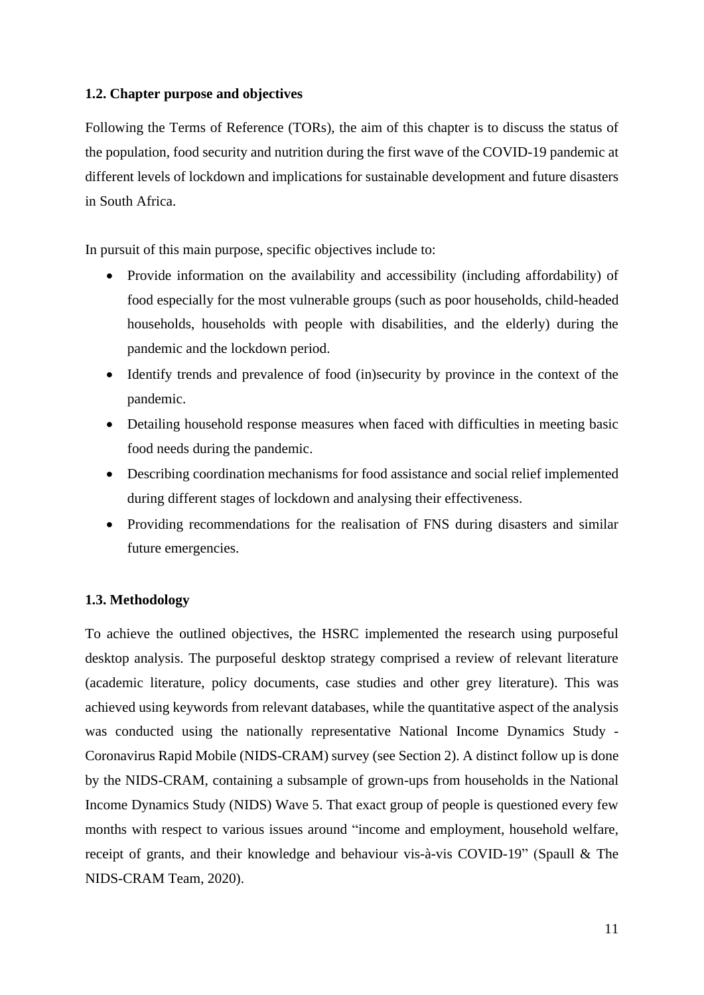## <span id="page-10-0"></span>**1.2. Chapter purpose and objectives**

Following the Terms of Reference (TORs), the aim of this chapter is to discuss the status of the population, food security and nutrition during the first wave of the COVID-19 pandemic at different levels of lockdown and implications for sustainable development and future disasters in South Africa.

In pursuit of this main purpose, specific objectives include to:

- Provide information on the availability and accessibility (including affordability) of food especially for the most vulnerable groups (such as poor households, child-headed households, households with people with disabilities, and the elderly) during the pandemic and the lockdown period.
- Identify trends and prevalence of food (in)security by province in the context of the pandemic.
- Detailing household response measures when faced with difficulties in meeting basic food needs during the pandemic.
- Describing coordination mechanisms for food assistance and social relief implemented during different stages of lockdown and analysing their effectiveness.
- Providing recommendations for the realisation of FNS during disasters and similar future emergencies.

## <span id="page-10-1"></span>**1.3. Methodology**

To achieve the outlined objectives, the HSRC implemented the research using purposeful desktop analysis. The purposeful desktop strategy comprised a review of relevant literature (academic literature, policy documents, case studies and other grey literature). This was achieved using keywords from relevant databases, while the quantitative aspect of the analysis was conducted using the nationally representative National Income Dynamics Study - Coronavirus Rapid Mobile (NIDS-CRAM) survey (see Section 2). A distinct follow up is done by the NIDS-CRAM, containing a subsample of grown-ups from households in the National Income Dynamics Study (NIDS) Wave 5. That exact group of people is questioned every few months with respect to various issues around "income and employment, household welfare, receipt of grants, and their knowledge and behaviour vis-à-vis COVID-19" (Spaull & The NIDS-CRAM Team, 2020).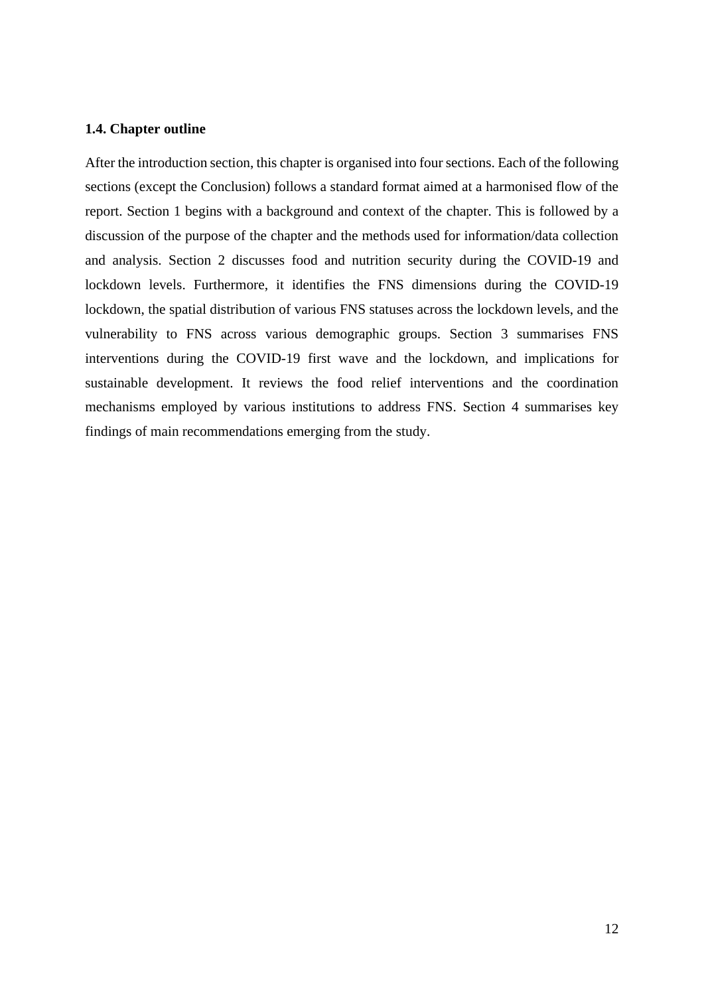### <span id="page-11-0"></span>**1.4. Chapter outline**

After the introduction section, this chapter is organised into four sections. Each of the following sections (except the Conclusion) follows a standard format aimed at a harmonised flow of the report. Section 1 begins with a background and context of the chapter. This is followed by a discussion of the purpose of the chapter and the methods used for information/data collection and analysis. Section 2 discusses food and nutrition security during the COVID-19 and lockdown levels. Furthermore, it identifies the FNS dimensions during the COVID-19 lockdown, the spatial distribution of various FNS statuses across the lockdown levels, and the vulnerability to FNS across various demographic groups. Section 3 summarises FNS interventions during the COVID-19 first wave and the lockdown, and implications for sustainable development. It reviews the food relief interventions and the coordination mechanisms employed by various institutions to address FNS. Section 4 summarises key findings of main recommendations emerging from the study.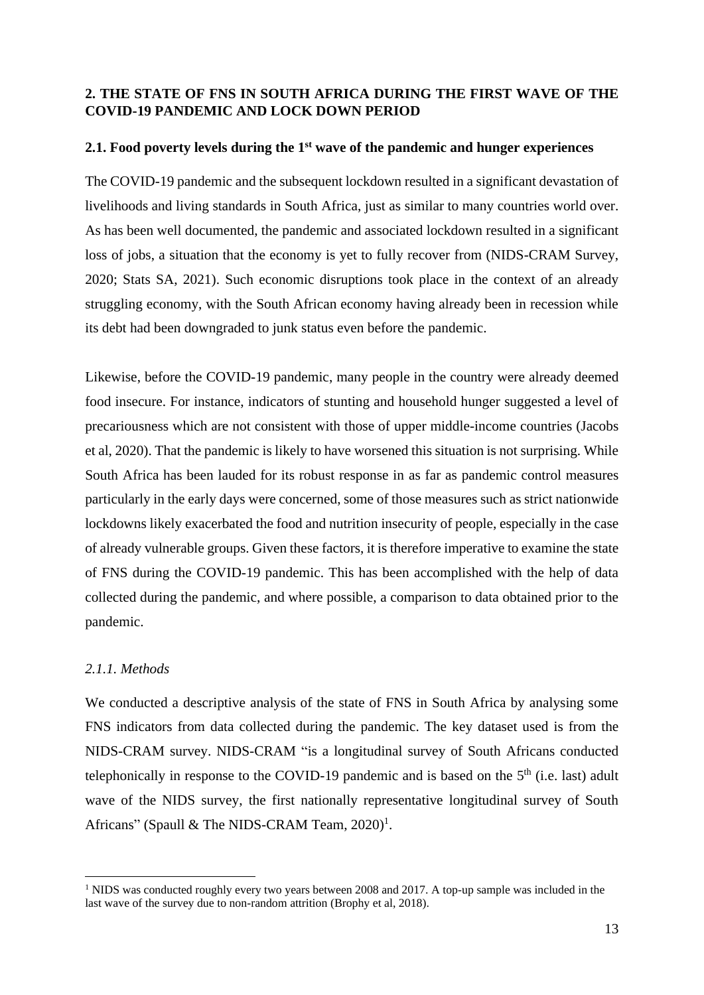## <span id="page-12-0"></span>**2. THE STATE OF FNS IN SOUTH AFRICA DURING THE FIRST WAVE OF THE COVID-19 PANDEMIC AND LOCK DOWN PERIOD**

## <span id="page-12-1"></span>**2.1. Food poverty levels during the 1st wave of the pandemic and hunger experiences**

The COVID-19 pandemic and the subsequent lockdown resulted in a significant devastation of livelihoods and living standards in South Africa, just as similar to many countries world over. As has been well documented, the pandemic and associated lockdown resulted in a significant loss of jobs, a situation that the economy is yet to fully recover from (NIDS-CRAM Survey, 2020; Stats SA, 2021). Such economic disruptions took place in the context of an already struggling economy, with the South African economy having already been in recession while its debt had been downgraded to junk status even before the pandemic.

Likewise, before the COVID-19 pandemic, many people in the country were already deemed food insecure. For instance, indicators of stunting and household hunger suggested a level of precariousness which are not consistent with those of upper middle-income countries (Jacobs et al, 2020). That the pandemic is likely to have worsened this situation is not surprising. While South Africa has been lauded for its robust response in as far as pandemic control measures particularly in the early days were concerned, some of those measures such as strict nationwide lockdowns likely exacerbated the food and nutrition insecurity of people, especially in the case of already vulnerable groups. Given these factors, it is therefore imperative to examine the state of FNS during the COVID-19 pandemic. This has been accomplished with the help of data collected during the pandemic, and where possible, a comparison to data obtained prior to the pandemic.

## <span id="page-12-2"></span>*2.1.1. Methods*

We conducted a descriptive analysis of the state of FNS in South Africa by analysing some FNS indicators from data collected during the pandemic. The key dataset used is from the NIDS-CRAM survey. NIDS-CRAM "is a longitudinal survey of South Africans conducted telephonically in response to the COVID-19 pandemic and is based on the  $5<sup>th</sup>$  (i.e. last) adult wave of the NIDS survey, the first nationally representative longitudinal survey of South Africans" (Spaull & The NIDS-CRAM Team, 2020)<sup>1</sup>.

<sup>&</sup>lt;sup>1</sup> NIDS was conducted roughly every two years between 2008 and 2017. A top-up sample was included in the last wave of the survey due to non-random attrition (Brophy et al, 2018).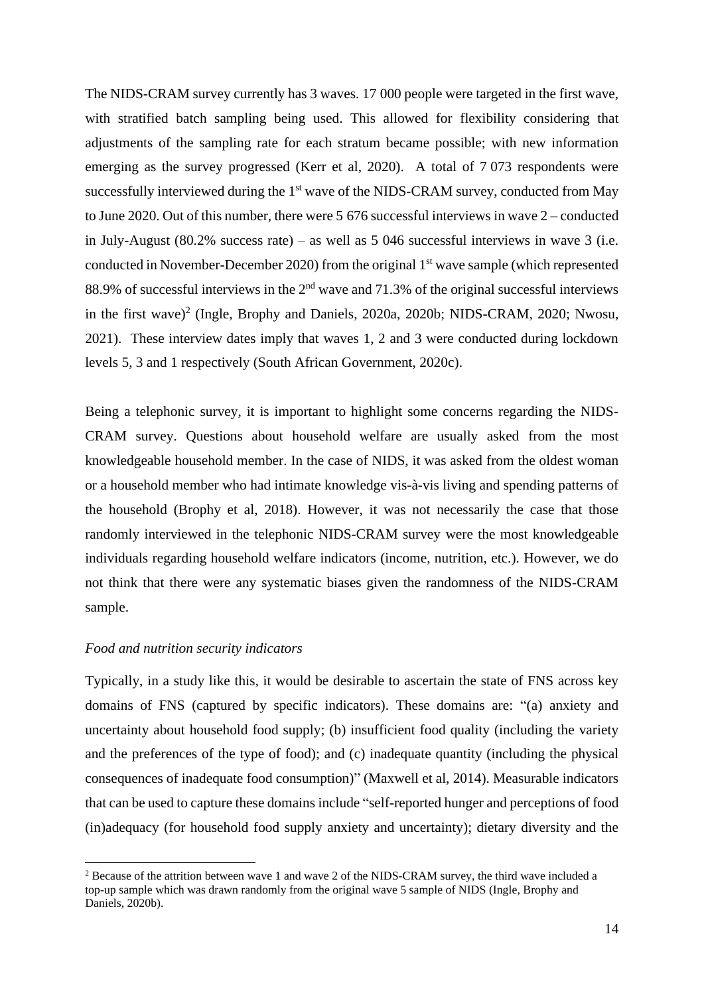The NIDS-CRAM survey currently has 3 waves. 17 000 people were targeted in the first wave, with stratified batch sampling being used. This allowed for flexibility considering that adjustments of the sampling rate for each stratum became possible; with new information emerging as the survey progressed (Kerr et al, 2020). A total of 7 073 respondents were successfully interviewed during the 1<sup>st</sup> wave of the NIDS-CRAM survey, conducted from May to June 2020. Out of this number, there were 5 676 successful interviews in wave 2 – conducted in July-August (80.2% success rate) – as well as 5 046 successful interviews in wave 3 (i.e. conducted in November-December 2020) from the original 1<sup>st</sup> wave sample (which represented 88.9% of successful interviews in the  $2<sup>nd</sup>$  wave and 71.3% of the original successful interviews in the first wave) 2 (Ingle, Brophy and Daniels, 2020a, 2020b; NIDS-CRAM, 2020; Nwosu, 2021). These interview dates imply that waves 1, 2 and 3 were conducted during lockdown levels 5, 3 and 1 respectively (South African Government, 2020c).

Being a telephonic survey, it is important to highlight some concerns regarding the NIDS-CRAM survey. Questions about household welfare are usually asked from the most knowledgeable household member. In the case of NIDS, it was asked from the oldest woman or a household member who had intimate knowledge vis-à-vis living and spending patterns of the household (Brophy et al, 2018). However, it was not necessarily the case that those randomly interviewed in the telephonic NIDS-CRAM survey were the most knowledgeable individuals regarding household welfare indicators (income, nutrition, etc.). However, we do not think that there were any systematic biases given the randomness of the NIDS-CRAM sample.

#### *Food and nutrition security indicators*

Typically, in a study like this, it would be desirable to ascertain the state of FNS across key domains of FNS (captured by specific indicators). These domains are: "(a) anxiety and uncertainty about household food supply; (b) insufficient food quality (including the variety and the preferences of the type of food); and (c) inadequate quantity (including the physical consequences of inadequate food consumption)" (Maxwell et al, 2014). Measurable indicators that can be used to capture these domains include "self-reported hunger and perceptions of food (in)adequacy (for household food supply anxiety and uncertainty); dietary diversity and the

<sup>2</sup> Because of the attrition between wave 1 and wave 2 of the NIDS-CRAM survey, the third wave included a top-up sample which was drawn randomly from the original wave 5 sample of NIDS (Ingle, Brophy and Daniels, 2020b).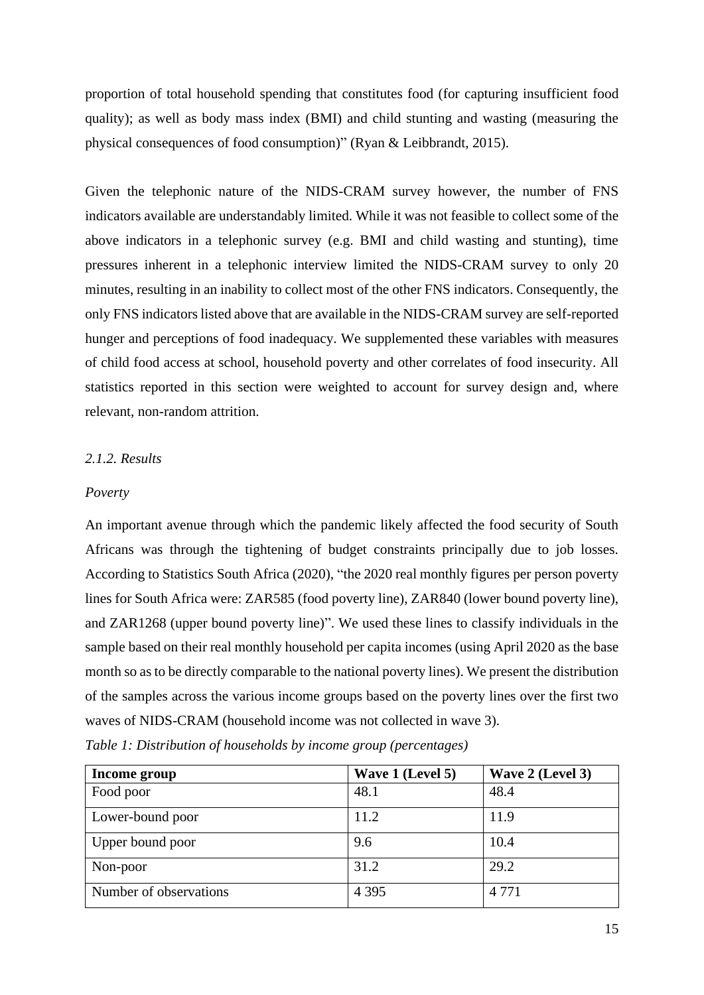proportion of total household spending that constitutes food (for capturing insufficient food quality); as well as body mass index (BMI) and child stunting and wasting (measuring the physical consequences of food consumption)" (Ryan & Leibbrandt, 2015).

Given the telephonic nature of the NIDS-CRAM survey however, the number of FNS indicators available are understandably limited. While it was not feasible to collect some of the above indicators in a telephonic survey (e.g. BMI and child wasting and stunting), time pressures inherent in a telephonic interview limited the NIDS-CRAM survey to only 20 minutes, resulting in an inability to collect most of the other FNS indicators. Consequently, the only FNS indicators listed above that are available in the NIDS-CRAM survey are self-reported hunger and perceptions of food inadequacy. We supplemented these variables with measures of child food access at school, household poverty and other correlates of food insecurity. All statistics reported in this section were weighted to account for survey design and, where relevant, non-random attrition.

## <span id="page-14-0"></span>*2.1.2. Results*

### *Poverty*

An important avenue through which the pandemic likely affected the food security of South Africans was through the tightening of budget constraints principally due to job losses. According to Statistics South Africa (2020), "the 2020 real monthly figures per person poverty lines for South Africa were: ZAR585 (food poverty line), ZAR840 (lower bound poverty line), and ZAR1268 (upper bound poverty line)". We used these lines to classify individuals in the sample based on their real monthly household per capita incomes (using April 2020 as the base month so as to be directly comparable to the national poverty lines). We present the distribution of the samples across the various income groups based on the poverty lines over the first two waves of NIDS-CRAM (household income was not collected in wave 3).

| Income group           | Wave 1 (Level 5) | Wave 2 (Level 3) |
|------------------------|------------------|------------------|
| Food poor              | 48.1             | 48.4             |
| Lower-bound poor       | 11.2             | 11.9             |
| Upper bound poor       | 9.6              | 10.4             |
| Non-poor               | 31.2             | 29.2             |
| Number of observations | 4 3 9 5          | 4 7 7 1          |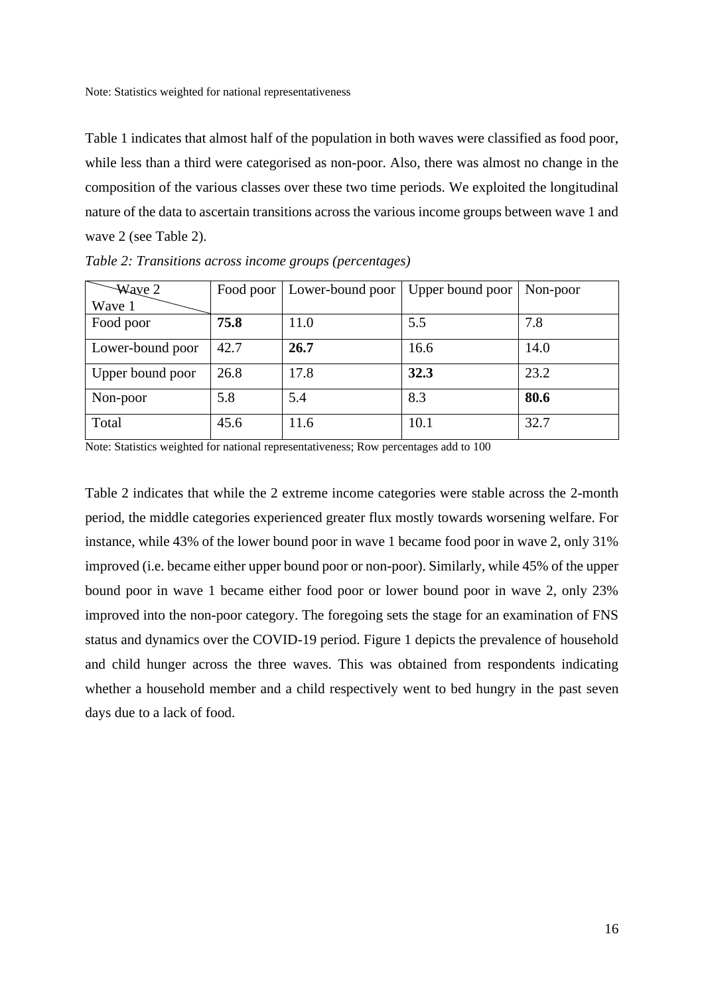Note: Statistics weighted for national representativeness

Table 1 indicates that almost half of the population in both waves were classified as food poor, while less than a third were categorised as non-poor. Also, there was almost no change in the composition of the various classes over these two time periods. We exploited the longitudinal nature of the data to ascertain transitions across the various income groups between wave 1 and wave 2 (see Table 2).

| $\frac{1}{2}$ Waye 2 | Food poor | Lower-bound poor | Upper bound poor | Non-poor |
|----------------------|-----------|------------------|------------------|----------|
| Wave 1               |           |                  |                  |          |
| Food poor            | 75.8      | 11.0             | 5.5              | 7.8      |
| Lower-bound poor     | 42.7      | 26.7             | 16.6             | 14.0     |
| Upper bound poor     | 26.8      | 17.8             | 32.3             | 23.2     |
| Non-poor             | 5.8       | 5.4              | 8.3              | 80.6     |
| Total                | 45.6      | 11.6             | 10.1             | 32.7     |

*Table 2: Transitions across income groups (percentages)*

Note: Statistics weighted for national representativeness; Row percentages add to 100

Table 2 indicates that while the 2 extreme income categories were stable across the 2-month period, the middle categories experienced greater flux mostly towards worsening welfare. For instance, while 43% of the lower bound poor in wave 1 became food poor in wave 2, only 31% improved (i.e. became either upper bound poor or non-poor). Similarly, while 45% of the upper bound poor in wave 1 became either food poor or lower bound poor in wave 2, only 23% improved into the non-poor category. The foregoing sets the stage for an examination of FNS status and dynamics over the COVID-19 period. Figure 1 depicts the prevalence of household and child hunger across the three waves. This was obtained from respondents indicating whether a household member and a child respectively went to bed hungry in the past seven days due to a lack of food.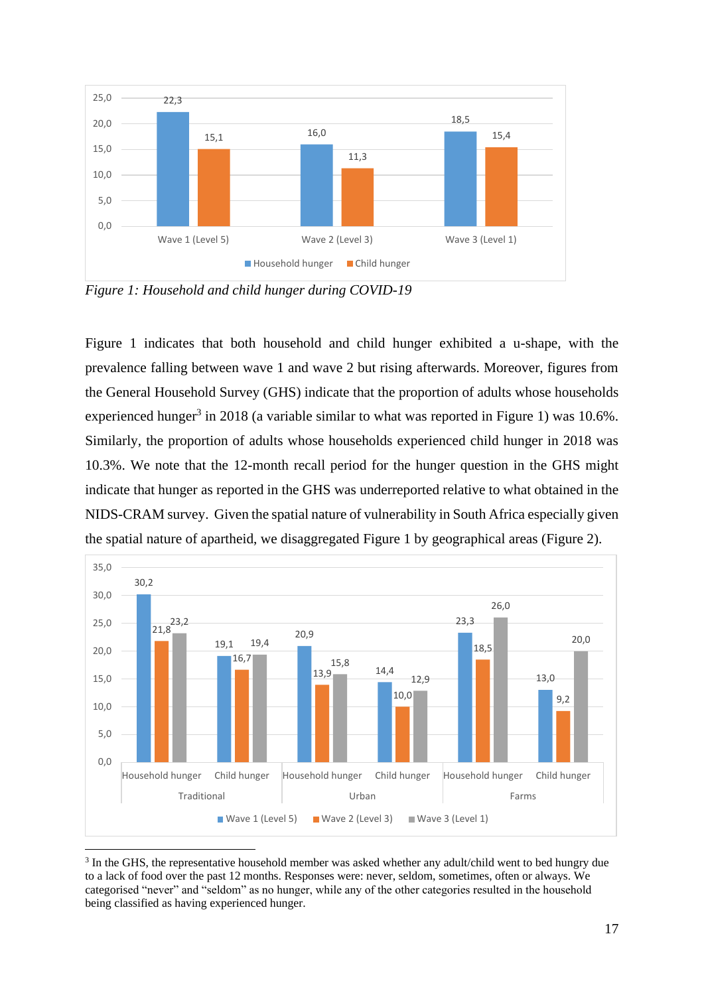

<span id="page-16-0"></span>*Figure 1: Household and child hunger during COVID-19*

Figure 1 indicates that both household and child hunger exhibited a u-shape, with the prevalence falling between wave 1 and wave 2 but rising afterwards. Moreover, figures from the General Household Survey (GHS) indicate that the proportion of adults whose households experienced hunger<sup>3</sup> in 2018 (a variable similar to what was reported in Figure 1) was  $10.6\%$ . Similarly, the proportion of adults whose households experienced child hunger in 2018 was 10.3%. We note that the 12-month recall period for the hunger question in the GHS might indicate that hunger as reported in the GHS was underreported relative to what obtained in the NIDS-CRAM survey. Given the spatial nature of vulnerability in South Africa especially given the spatial nature of apartheid, we disaggregated Figure 1 by geographical areas (Figure 2).



<sup>&</sup>lt;sup>3</sup> In the GHS, the representative household member was asked whether any adult/child went to bed hungry due to a lack of food over the past 12 months. Responses were: never, seldom, sometimes, often or always. We categorised "never" and "seldom" as no hunger, while any of the other categories resulted in the household being classified as having experienced hunger.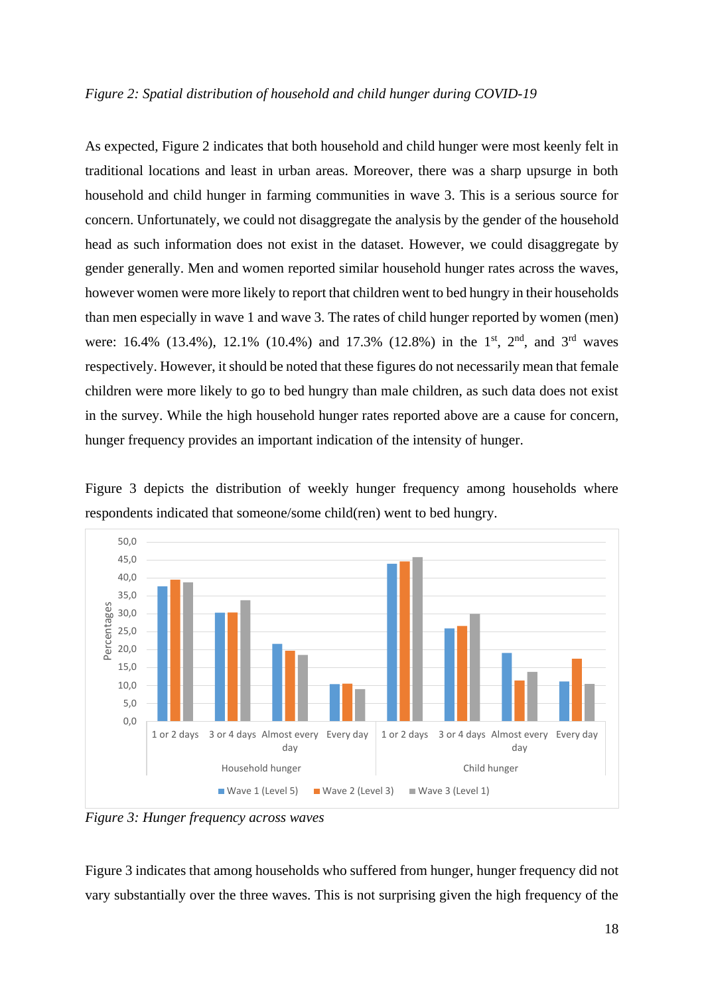### <span id="page-17-0"></span>*Figure 2: Spatial distribution of household and child hunger during COVID-19*

As expected, Figure 2 indicates that both household and child hunger were most keenly felt in traditional locations and least in urban areas. Moreover, there was a sharp upsurge in both household and child hunger in farming communities in wave 3. This is a serious source for concern. Unfortunately, we could not disaggregate the analysis by the gender of the household head as such information does not exist in the dataset. However, we could disaggregate by gender generally. Men and women reported similar household hunger rates across the waves, however women were more likely to report that children went to bed hungry in their households than men especially in wave 1 and wave 3. The rates of child hunger reported by women (men) were: 16.4% (13.4%), 12.1% (10.4%) and 17.3% (12.8%) in the 1<sup>st</sup>, 2<sup>nd</sup>, and 3<sup>rd</sup> waves respectively. However, it should be noted that these figures do not necessarily mean that female children were more likely to go to bed hungry than male children, as such data does not exist in the survey. While the high household hunger rates reported above are a cause for concern, hunger frequency provides an important indication of the intensity of hunger.



Figure 3 depicts the distribution of weekly hunger frequency among households where respondents indicated that someone/some child(ren) went to bed hungry.

<span id="page-17-1"></span>*Figure 3: Hunger frequency across waves*

Figure 3 indicates that among households who suffered from hunger, hunger frequency did not vary substantially over the three waves. This is not surprising given the high frequency of the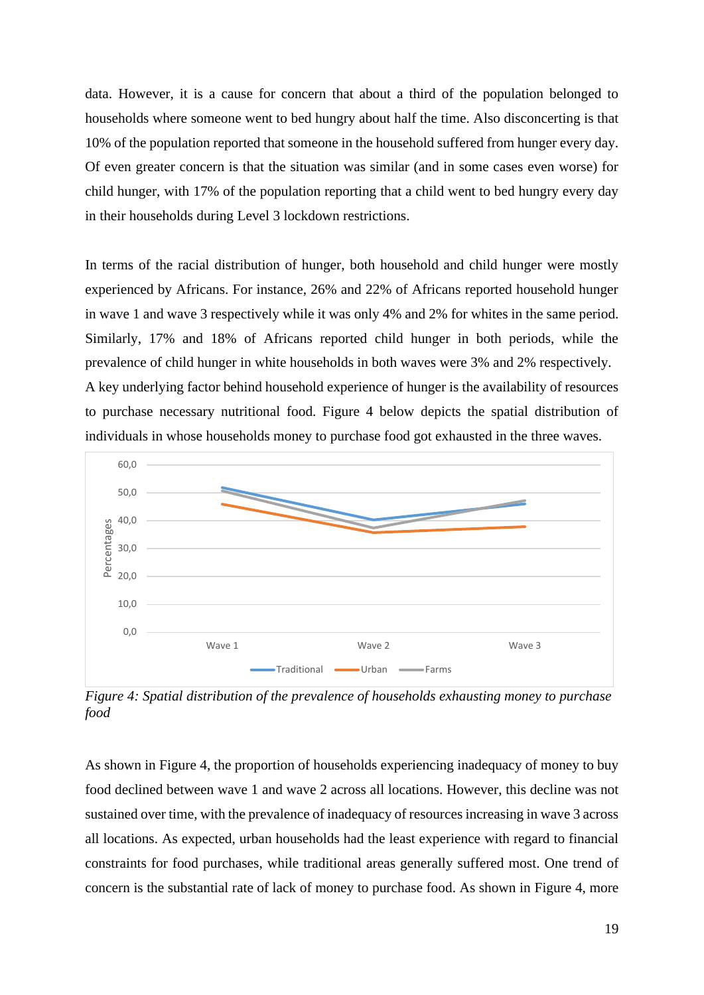data. However, it is a cause for concern that about a third of the population belonged to households where someone went to bed hungry about half the time. Also disconcerting is that 10% of the population reported that someone in the household suffered from hunger every day. Of even greater concern is that the situation was similar (and in some cases even worse) for child hunger, with 17% of the population reporting that a child went to bed hungry every day in their households during Level 3 lockdown restrictions.

In terms of the racial distribution of hunger, both household and child hunger were mostly experienced by Africans. For instance, 26% and 22% of Africans reported household hunger in wave 1 and wave 3 respectively while it was only 4% and 2% for whites in the same period. Similarly, 17% and 18% of Africans reported child hunger in both periods, while the prevalence of child hunger in white households in both waves were 3% and 2% respectively. A key underlying factor behind household experience of hunger is the availability of resources to purchase necessary nutritional food. Figure 4 below depicts the spatial distribution of individuals in whose households money to purchase food got exhausted in the three waves.



<span id="page-18-0"></span>*Figure 4: Spatial distribution of the prevalence of households exhausting money to purchase food*

As shown in Figure 4, the proportion of households experiencing inadequacy of money to buy food declined between wave 1 and wave 2 across all locations. However, this decline was not sustained over time, with the prevalence of inadequacy of resources increasing in wave 3 across all locations. As expected, urban households had the least experience with regard to financial constraints for food purchases, while traditional areas generally suffered most. One trend of concern is the substantial rate of lack of money to purchase food. As shown in Figure 4, more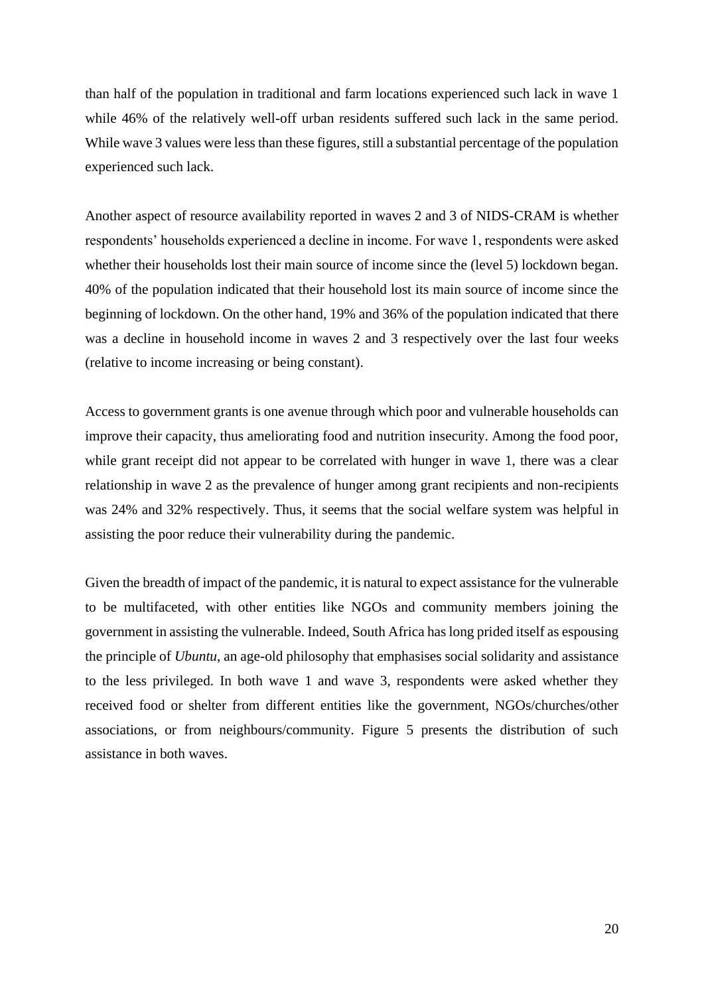than half of the population in traditional and farm locations experienced such lack in wave 1 while 46% of the relatively well-off urban residents suffered such lack in the same period. While wave 3 values were less than these figures, still a substantial percentage of the population experienced such lack.

Another aspect of resource availability reported in waves 2 and 3 of NIDS-CRAM is whether respondents' households experienced a decline in income. For wave 1, respondents were asked whether their households lost their main source of income since the (level 5) lockdown began. 40% of the population indicated that their household lost its main source of income since the beginning of lockdown. On the other hand, 19% and 36% of the population indicated that there was a decline in household income in waves 2 and 3 respectively over the last four weeks (relative to income increasing or being constant).

Access to government grants is one avenue through which poor and vulnerable households can improve their capacity, thus ameliorating food and nutrition insecurity. Among the food poor, while grant receipt did not appear to be correlated with hunger in wave 1, there was a clear relationship in wave 2 as the prevalence of hunger among grant recipients and non-recipients was 24% and 32% respectively. Thus, it seems that the social welfare system was helpful in assisting the poor reduce their vulnerability during the pandemic.

Given the breadth of impact of the pandemic, it is natural to expect assistance for the vulnerable to be multifaceted, with other entities like NGOs and community members joining the government in assisting the vulnerable. Indeed, South Africa has long prided itself as espousing the principle of *Ubuntu*, an age-old philosophy that emphasises social solidarity and assistance to the less privileged. In both wave 1 and wave 3, respondents were asked whether they received food or shelter from different entities like the government, NGOs/churches/other associations, or from neighbours/community. Figure 5 presents the distribution of such assistance in both waves.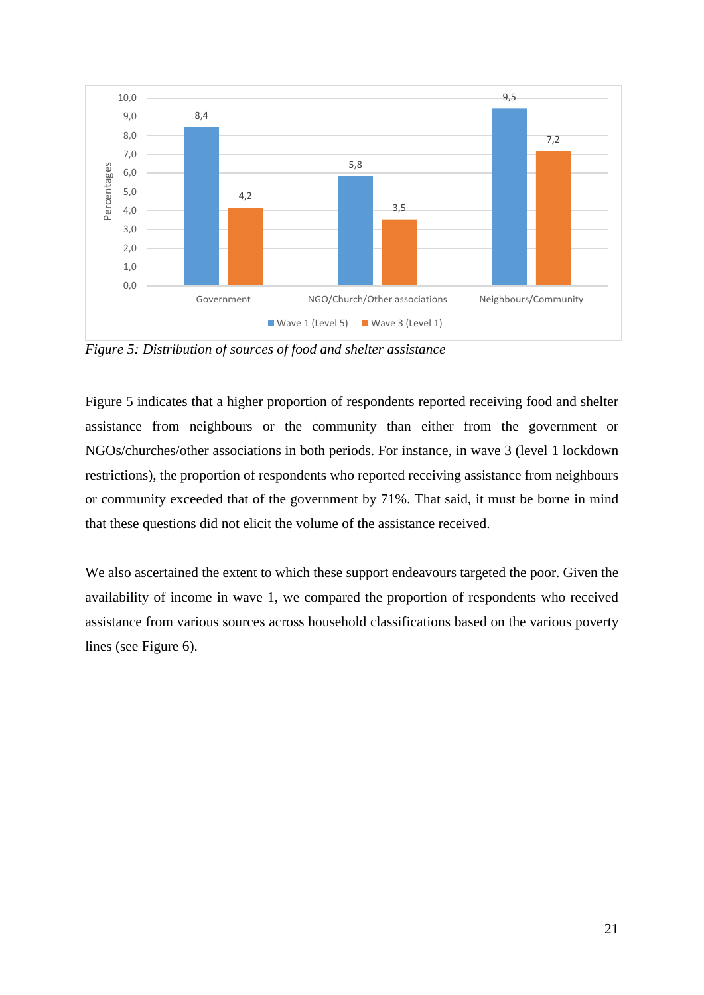

<span id="page-20-0"></span>*Figure 5: Distribution of sources of food and shelter assistance*

Figure 5 indicates that a higher proportion of respondents reported receiving food and shelter assistance from neighbours or the community than either from the government or NGOs/churches/other associations in both periods. For instance, in wave 3 (level 1 lockdown restrictions), the proportion of respondents who reported receiving assistance from neighbours or community exceeded that of the government by 71%. That said, it must be borne in mind that these questions did not elicit the volume of the assistance received.

We also ascertained the extent to which these support endeavours targeted the poor. Given the availability of income in wave 1, we compared the proportion of respondents who received assistance from various sources across household classifications based on the various poverty lines (see Figure 6).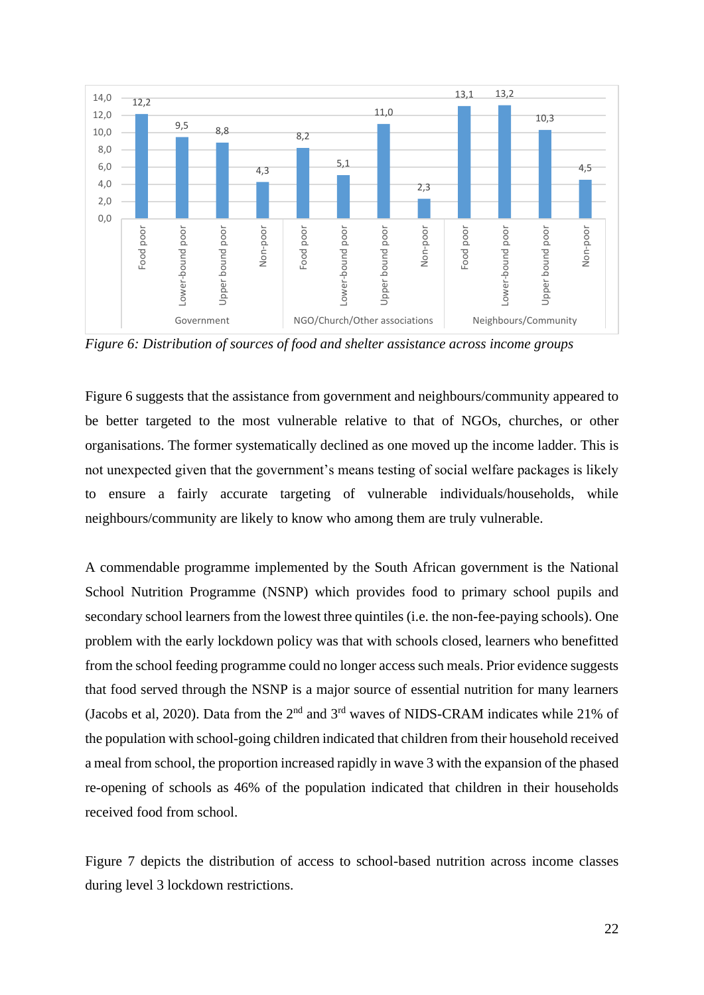

<span id="page-21-0"></span>*Figure 6: Distribution of sources of food and shelter assistance across income groups*

Figure 6 suggests that the assistance from government and neighbours/community appeared to be better targeted to the most vulnerable relative to that of NGOs, churches, or other organisations. The former systematically declined as one moved up the income ladder. This is not unexpected given that the government's means testing of social welfare packages is likely to ensure a fairly accurate targeting of vulnerable individuals/households, while neighbours/community are likely to know who among them are truly vulnerable.

A commendable programme implemented by the South African government is the National School Nutrition Programme (NSNP) which provides food to primary school pupils and secondary school learners from the lowest three quintiles (i.e. the non-fee-paying schools). One problem with the early lockdown policy was that with schools closed, learners who benefitted from the school feeding programme could no longer access such meals. Prior evidence suggests that food served through the NSNP is a major source of essential nutrition for many learners (Jacobs et al, 2020). Data from the  $2<sup>nd</sup>$  and  $3<sup>rd</sup>$  waves of NIDS-CRAM indicates while 21% of the population with school-going children indicated that children from their household received a meal from school, the proportion increased rapidly in wave 3 with the expansion of the phased re-opening of schools as 46% of the population indicated that children in their households received food from school.

Figure 7 depicts the distribution of access to school-based nutrition across income classes during level 3 lockdown restrictions.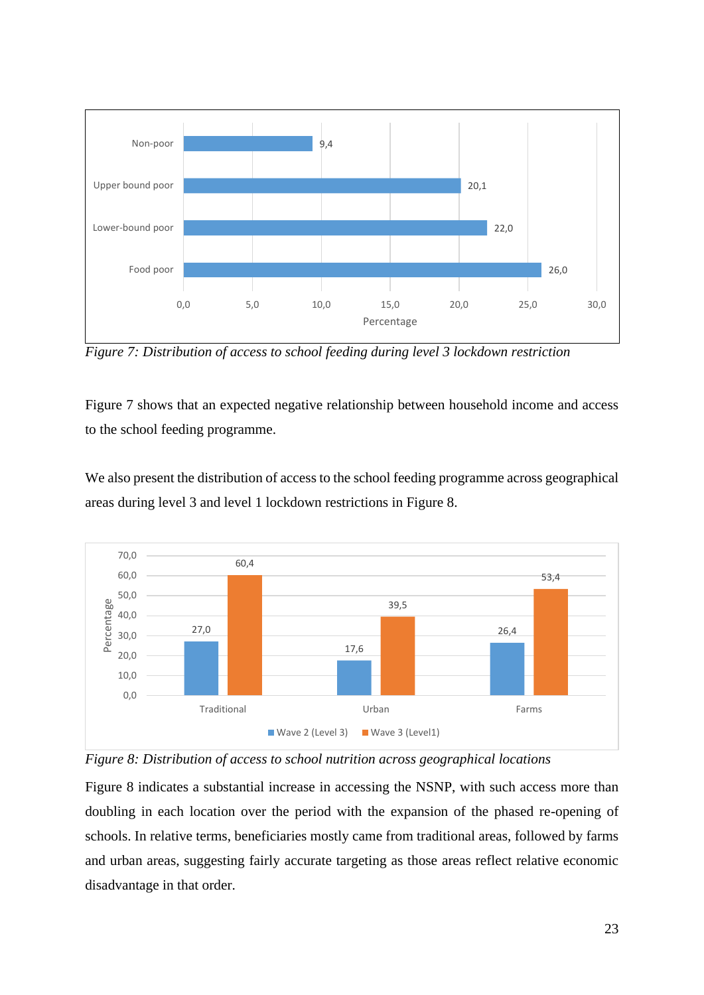

<span id="page-22-0"></span>*Figure 7: Distribution of access to school feeding during level 3 lockdown restriction*

Figure 7 shows that an expected negative relationship between household income and access to the school feeding programme.

We also present the distribution of access to the school feeding programme across geographical areas during level 3 and level 1 lockdown restrictions in Figure 8.



<span id="page-22-1"></span>

Figure 8 indicates a substantial increase in accessing the NSNP, with such access more than doubling in each location over the period with the expansion of the phased re-opening of schools. In relative terms, beneficiaries mostly came from traditional areas, followed by farms and urban areas, suggesting fairly accurate targeting as those areas reflect relative economic disadvantage in that order.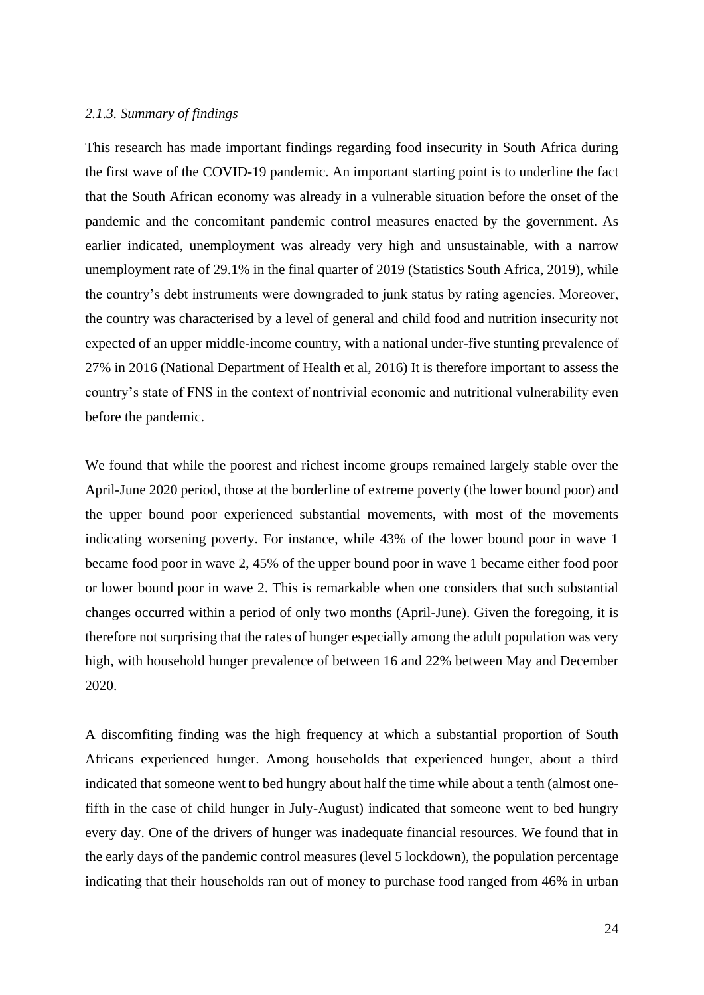### <span id="page-23-0"></span>*2.1.3. Summary of findings*

This research has made important findings regarding food insecurity in South Africa during the first wave of the COVID-19 pandemic. An important starting point is to underline the fact that the South African economy was already in a vulnerable situation before the onset of the pandemic and the concomitant pandemic control measures enacted by the government. As earlier indicated, unemployment was already very high and unsustainable, with a narrow unemployment rate of 29.1% in the final quarter of 2019 (Statistics South Africa, 2019), while the country's debt instruments were downgraded to junk status by rating agencies. Moreover, the country was characterised by a level of general and child food and nutrition insecurity not expected of an upper middle-income country, with a national under-five stunting prevalence of 27% in 2016 (National Department of Health et al, 2016) It is therefore important to assess the country's state of FNS in the context of nontrivial economic and nutritional vulnerability even before the pandemic.

We found that while the poorest and richest income groups remained largely stable over the April-June 2020 period, those at the borderline of extreme poverty (the lower bound poor) and the upper bound poor experienced substantial movements, with most of the movements indicating worsening poverty. For instance, while 43% of the lower bound poor in wave 1 became food poor in wave 2, 45% of the upper bound poor in wave 1 became either food poor or lower bound poor in wave 2. This is remarkable when one considers that such substantial changes occurred within a period of only two months (April-June). Given the foregoing, it is therefore not surprising that the rates of hunger especially among the adult population was very high, with household hunger prevalence of between 16 and 22% between May and December 2020.

A discomfiting finding was the high frequency at which a substantial proportion of South Africans experienced hunger. Among households that experienced hunger, about a third indicated that someone went to bed hungry about half the time while about a tenth (almost onefifth in the case of child hunger in July-August) indicated that someone went to bed hungry every day. One of the drivers of hunger was inadequate financial resources. We found that in the early days of the pandemic control measures (level 5 lockdown), the population percentage indicating that their households ran out of money to purchase food ranged from 46% in urban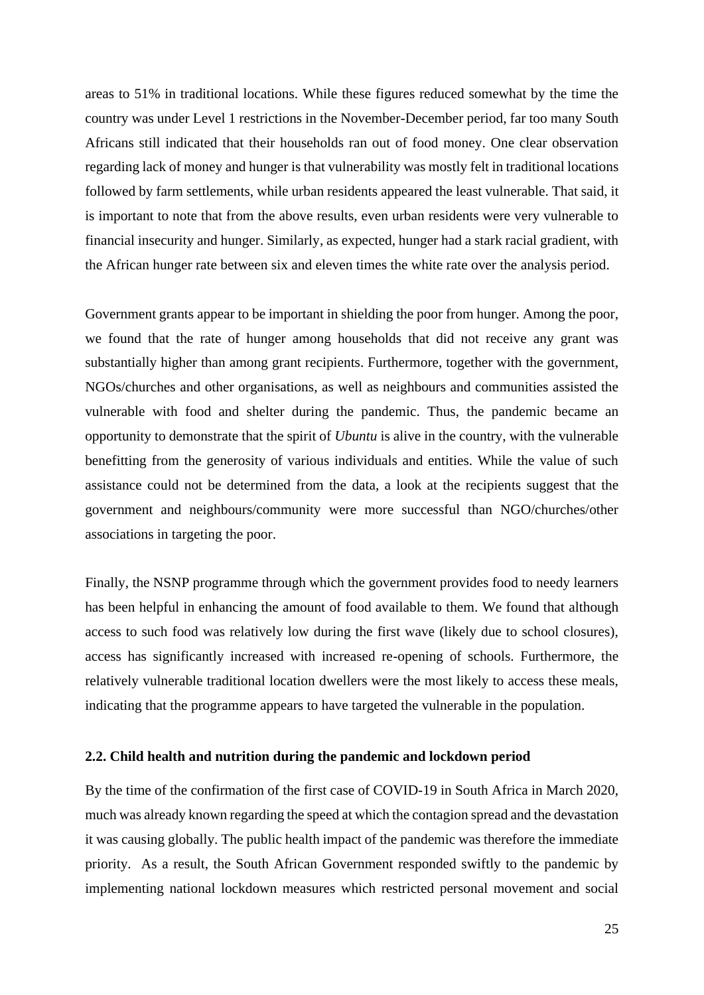areas to 51% in traditional locations. While these figures reduced somewhat by the time the country was under Level 1 restrictions in the November-December period, far too many South Africans still indicated that their households ran out of food money. One clear observation regarding lack of money and hunger is that vulnerability was mostly felt in traditional locations followed by farm settlements, while urban residents appeared the least vulnerable. That said, it is important to note that from the above results, even urban residents were very vulnerable to financial insecurity and hunger. Similarly, as expected, hunger had a stark racial gradient, with the African hunger rate between six and eleven times the white rate over the analysis period.

Government grants appear to be important in shielding the poor from hunger. Among the poor, we found that the rate of hunger among households that did not receive any grant was substantially higher than among grant recipients. Furthermore, together with the government, NGOs/churches and other organisations, as well as neighbours and communities assisted the vulnerable with food and shelter during the pandemic. Thus, the pandemic became an opportunity to demonstrate that the spirit of *Ubuntu* is alive in the country, with the vulnerable benefitting from the generosity of various individuals and entities. While the value of such assistance could not be determined from the data, a look at the recipients suggest that the government and neighbours/community were more successful than NGO/churches/other associations in targeting the poor.

Finally, the NSNP programme through which the government provides food to needy learners has been helpful in enhancing the amount of food available to them. We found that although access to such food was relatively low during the first wave (likely due to school closures), access has significantly increased with increased re-opening of schools. Furthermore, the relatively vulnerable traditional location dwellers were the most likely to access these meals, indicating that the programme appears to have targeted the vulnerable in the population.

#### <span id="page-24-0"></span>**2.2. Child health and nutrition during the pandemic and lockdown period**

By the time of the confirmation of the first case of COVID-19 in South Africa in March 2020, much was already known regarding the speed at which the contagion spread and the devastation it was causing globally. The public health impact of the pandemic was therefore the immediate priority. As a result, the South African Government responded swiftly to the pandemic by implementing national lockdown measures which restricted personal movement and social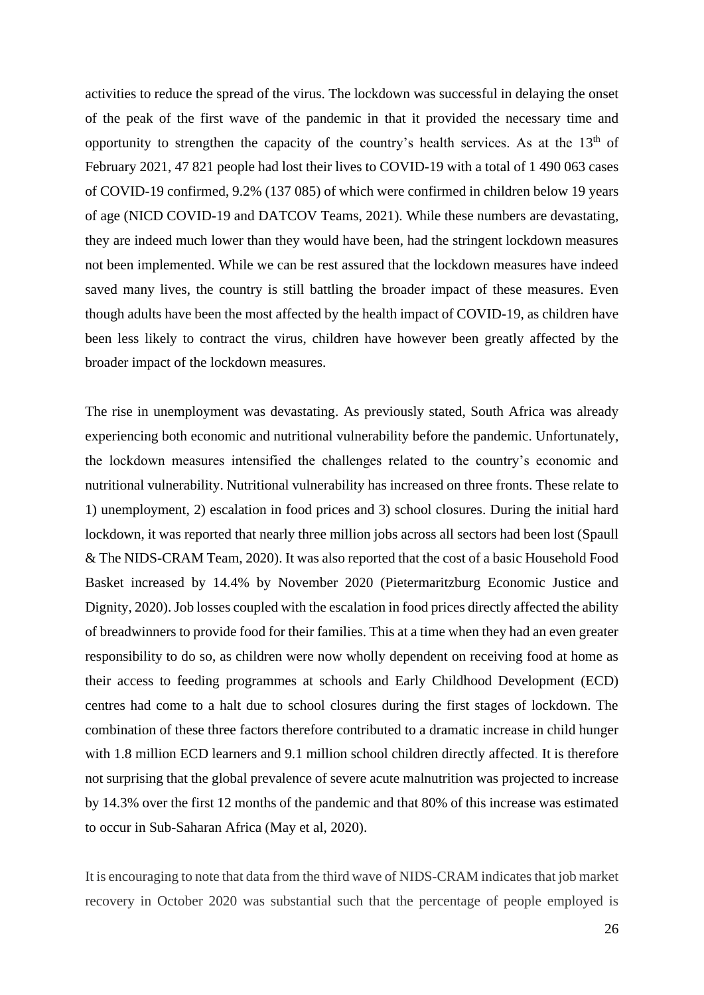activities to reduce the spread of the virus. The lockdown was successful in delaying the onset of the peak of the first wave of the pandemic in that it provided the necessary time and opportunity to strengthen the capacity of the country's health services. As at the  $13<sup>th</sup>$  of February 2021, 47 821 people had lost their lives to COVID-19 with a total of 1 490 063 cases of COVID-19 confirmed, 9.2% (137 085) of which were confirmed in children below 19 years of age (NICD COVID-19 and DATCOV Teams, 2021). While these numbers are devastating, they are indeed much lower than they would have been, had the stringent lockdown measures not been implemented. While we can be rest assured that the lockdown measures have indeed saved many lives, the country is still battling the broader impact of these measures. Even though adults have been the most affected by the health impact of COVID-19, as children have been less likely to contract the virus, children have however been greatly affected by the broader impact of the lockdown measures.

The rise in unemployment was devastating. As previously stated, South Africa was already experiencing both economic and nutritional vulnerability before the pandemic. Unfortunately, the lockdown measures intensified the challenges related to the country's economic and nutritional vulnerability. Nutritional vulnerability has increased on three fronts. These relate to 1) unemployment, 2) escalation in food prices and 3) school closures. During the initial hard lockdown, it was reported that nearly three million jobs across all sectors had been lost (Spaull & The NIDS-CRAM Team, 2020). It was also reported that the cost of a basic Household Food Basket increased by 14.4% by November 2020 (Pietermaritzburg Economic Justice and Dignity, 2020). Job losses coupled with the escalation in food prices directly affected the ability of breadwinners to provide food for their families. This at a time when they had an even greater responsibility to do so, as children were now wholly dependent on receiving food at home as their access to feeding programmes at schools and Early Childhood Development (ECD) centres had come to a halt due to school closures during the first stages of lockdown. The combination of these three factors therefore contributed to a dramatic increase in child hunger with 1.8 million ECD learners and 9.1 million school children directly affected. It is therefore not surprising that the global prevalence of severe acute malnutrition was projected to increase by 14.3% over the first 12 months of the pandemic and that 80% of this increase was estimated to occur in Sub-Saharan Africa (May et al, 2020).

It is encouraging to note that data from the third wave of NIDS-CRAM indicates that job market recovery in October 2020 was substantial such that the percentage of people employed is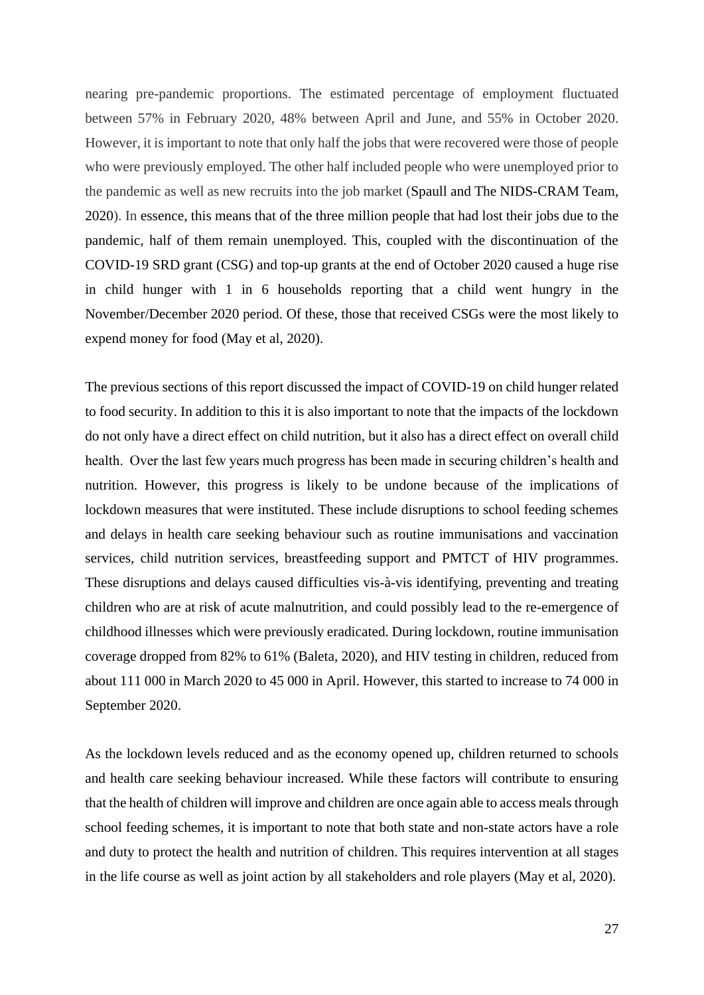nearing pre-pandemic proportions. The estimated percentage of employment fluctuated between 57% in February 2020, 48% between April and June, and 55% in October 2020. However, it is important to note that only half the jobs that were recovered were those of people who were previously employed. The other half included people who were unemployed prior to the pandemic as well as new recruits into the job market (Spaull and The NIDS-CRAM Team, 2020). In essence, this means that of the three million people that had lost their jobs due to the pandemic, half of them remain unemployed. This, coupled with the discontinuation of the COVID-19 SRD grant (CSG) and top-up grants at the end of October 2020 caused a huge rise in child hunger with 1 in 6 households reporting that a child went hungry in the November/December 2020 period. Of these, those that received CSGs were the most likely to expend money for food (May et al, 2020).

The previous sections of this report discussed the impact of COVID-19 on child hunger related to food security. In addition to this it is also important to note that the impacts of the lockdown do not only have a direct effect on child nutrition, but it also has a direct effect on overall child health. Over the last few years much progress has been made in securing children's health and nutrition. However, this progress is likely to be undone because of the implications of lockdown measures that were instituted. These include disruptions to school feeding schemes and delays in health care seeking behaviour such as routine immunisations and vaccination services, child nutrition services, breastfeeding support and PMTCT of HIV programmes. These disruptions and delays caused difficulties vis-à-vis identifying, preventing and treating children who are at risk of acute malnutrition, and could possibly lead to the re-emergence of childhood illnesses which were previously eradicated. During lockdown, routine immunisation coverage dropped from 82% to 61% (Baleta, 2020), and HIV testing in children, reduced from about 111 000 in March 2020 to 45 000 in April. However, this started to increase to 74 000 in September 2020.

As the lockdown levels reduced and as the economy opened up, children returned to schools and health care seeking behaviour increased. While these factors will contribute to ensuring that the health of children will improve and children are once again able to access meals through school feeding schemes, it is important to note that both state and non-state actors have a role and duty to protect the health and nutrition of children. This requires intervention at all stages in the life course as well as joint action by all stakeholders and role players (May et al, 2020).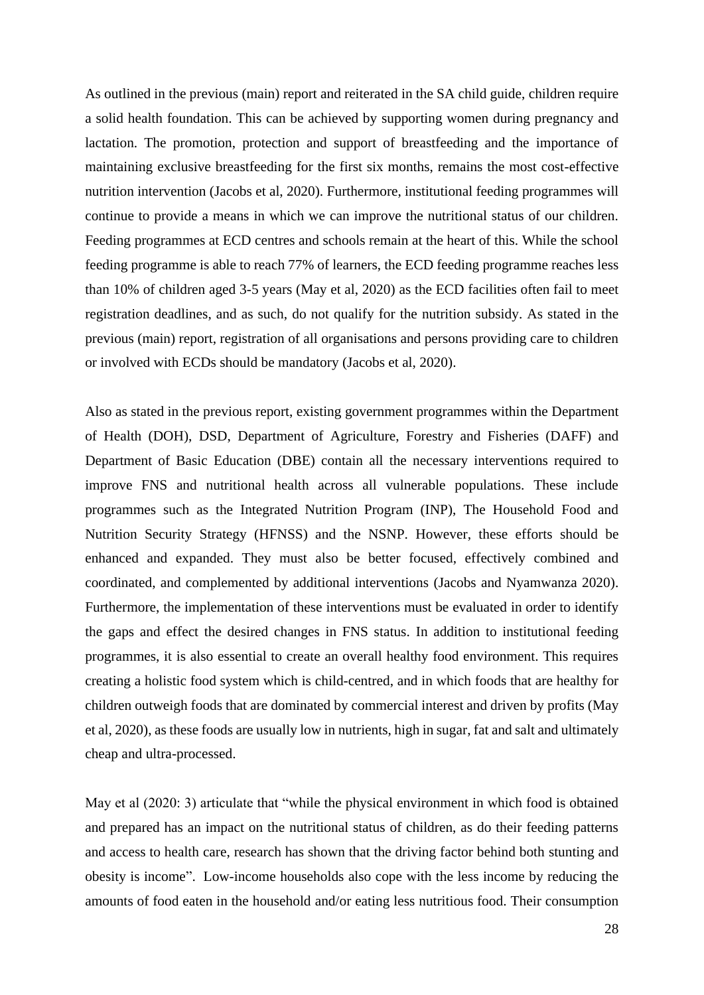As outlined in the previous (main) report and reiterated in the SA child guide, children require a solid health foundation. This can be achieved by supporting women during pregnancy and lactation. The promotion, protection and support of breastfeeding and the importance of maintaining exclusive breastfeeding for the first six months, remains the most cost-effective nutrition intervention (Jacobs et al, 2020). Furthermore, institutional feeding programmes will continue to provide a means in which we can improve the nutritional status of our children. Feeding programmes at ECD centres and schools remain at the heart of this. While the school feeding programme is able to reach 77% of learners, the ECD feeding programme reaches less than 10% of children aged 3-5 years (May et al, 2020) as the ECD facilities often fail to meet registration deadlines, and as such, do not qualify for the nutrition subsidy. As stated in the previous (main) report, registration of all organisations and persons providing care to children or involved with ECDs should be mandatory (Jacobs et al, 2020).

Also as stated in the previous report, existing government programmes within the Department of Health (DOH), DSD, Department of Agriculture, Forestry and Fisheries (DAFF) and Department of Basic Education (DBE) contain all the necessary interventions required to improve FNS and nutritional health across all vulnerable populations. These include programmes such as the Integrated Nutrition Program (INP), The Household Food and Nutrition Security Strategy (HFNSS) and the NSNP. However, these efforts should be enhanced and expanded. They must also be better focused, effectively combined and coordinated, and complemented by additional interventions (Jacobs and Nyamwanza 2020). Furthermore, the implementation of these interventions must be evaluated in order to identify the gaps and effect the desired changes in FNS status. In addition to institutional feeding programmes, it is also essential to create an overall healthy food environment. This requires creating a holistic food system which is child-centred, and in which foods that are healthy for children outweigh foods that are dominated by commercial interest and driven by profits (May et al, 2020), as these foods are usually low in nutrients, high in sugar, fat and salt and ultimately cheap and ultra-processed.

May et al (2020: 3) articulate that "while the physical environment in which food is obtained and prepared has an impact on the nutritional status of children, as do their feeding patterns and access to health care, research has shown that the driving factor behind both stunting and obesity is income". Low-income households also cope with the less income by reducing the amounts of food eaten in the household and/or eating less nutritious food. Their consumption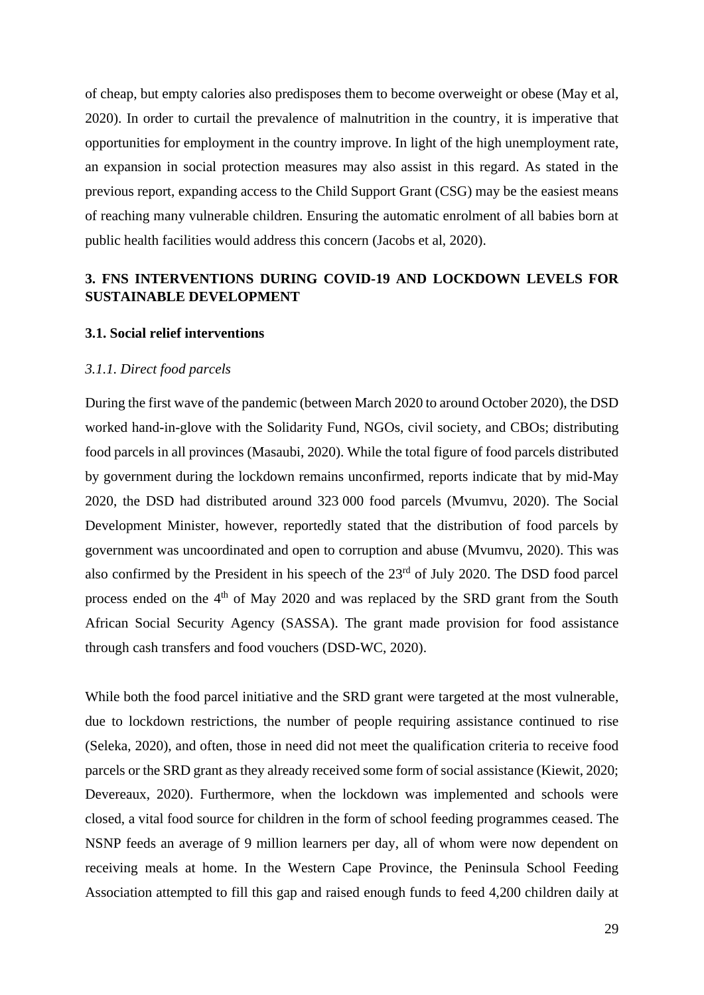of cheap, but empty calories also predisposes them to become overweight or obese (May et al, 2020). In order to curtail the prevalence of malnutrition in the country, it is imperative that opportunities for employment in the country improve. In light of the high unemployment rate, an expansion in social protection measures may also assist in this regard. As stated in the previous report, expanding access to the Child Support Grant (CSG) may be the easiest means of reaching many vulnerable children. Ensuring the automatic enrolment of all babies born at public health facilities would address this concern (Jacobs et al, 2020).

## <span id="page-28-0"></span>**3. FNS INTERVENTIONS DURING COVID-19 AND LOCKDOWN LEVELS FOR SUSTAINABLE DEVELOPMENT**

### <span id="page-28-1"></span>**3.1. Social relief interventions**

### <span id="page-28-2"></span>*3.1.1. Direct food parcels*

During the first wave of the pandemic (between March 2020 to around October 2020), the DSD worked hand-in-glove with the Solidarity Fund, NGOs, civil society, and CBOs; distributing food parcels in all provinces (Masaubi, 2020). While the total figure of food parcels distributed by government during the lockdown remains unconfirmed, reports indicate that by mid-May 2020, the DSD had distributed around 323 000 food parcels (Mvumvu, 2020). The Social Development Minister, however, reportedly stated that the distribution of food parcels by government was uncoordinated and open to corruption and abuse (Mvumvu, 2020). This was also confirmed by the President in his speech of the 23rd of July 2020. The DSD food parcel process ended on the  $4<sup>th</sup>$  of May 2020 and was replaced by the SRD grant from the South African Social Security Agency (SASSA). The grant made provision for food assistance through cash transfers and food vouchers (DSD-WC, 2020).

While both the food parcel initiative and the SRD grant were targeted at the most vulnerable, due to lockdown restrictions, the number of people requiring assistance continued to rise (Seleka, 2020), and often, those in need did not meet the qualification criteria to receive food parcels or the SRD grant as they already received some form of social assistance (Kiewit, 2020; Devereaux, 2020). Furthermore, when the lockdown was implemented and schools were closed, a vital food source for children in the form of school feeding programmes ceased. The NSNP feeds an average of 9 million learners per day, all of whom were now dependent on receiving meals at home. In the Western Cape Province, the Peninsula School Feeding Association attempted to fill this gap and raised enough funds to feed 4,200 children daily at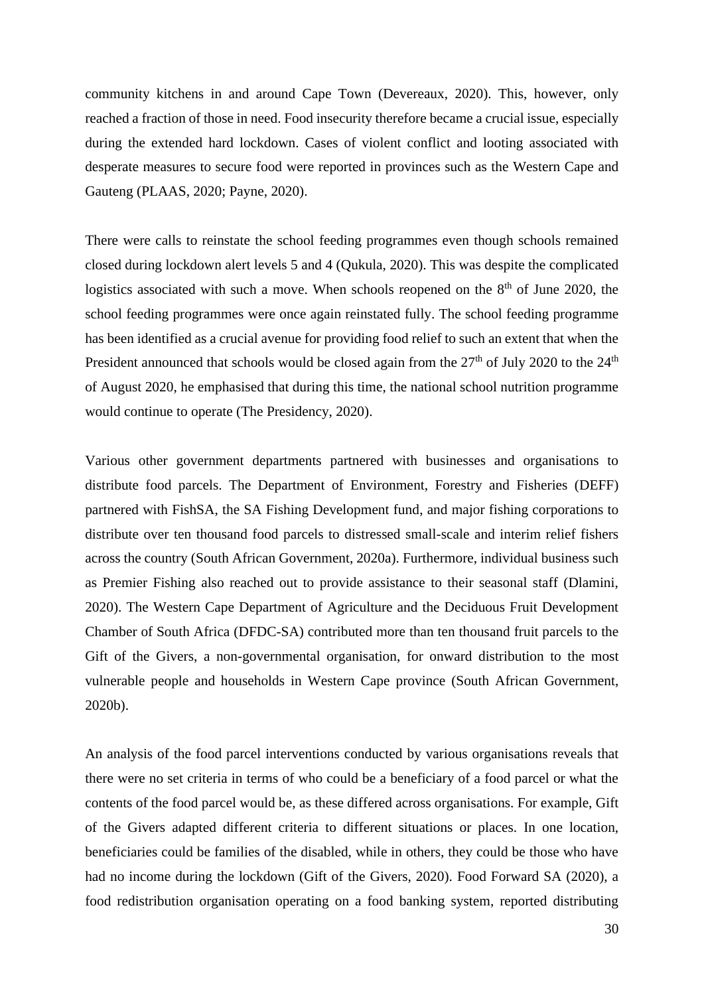community kitchens in and around Cape Town (Devereaux, 2020). This, however, only reached a fraction of those in need. Food insecurity therefore became a crucial issue, especially during the extended hard lockdown. Cases of violent conflict and looting associated with desperate measures to secure food were reported in provinces such as the Western Cape and Gauteng (PLAAS, 2020; Payne, 2020).

There were calls to reinstate the school feeding programmes even though schools remained closed during lockdown alert levels 5 and 4 (Qukula, 2020). This was despite the complicated logistics associated with such a move. When schools reopened on the  $8<sup>th</sup>$  of June 2020, the school feeding programmes were once again reinstated fully. The school feeding programme has been identified as a crucial avenue for providing food relief to such an extent that when the President announced that schools would be closed again from the 27<sup>th</sup> of July 2020 to the 24<sup>th</sup> of August 2020, he emphasised that during this time, the national school nutrition programme would continue to operate (The Presidency, 2020).

Various other government departments partnered with businesses and organisations to distribute food parcels. The Department of Environment, Forestry and Fisheries (DEFF) partnered with FishSA, the SA Fishing Development fund, and major fishing corporations to distribute over ten thousand food parcels to distressed small-scale and interim relief fishers across the country (South African Government, 2020a). Furthermore, individual business such as Premier Fishing also reached out to provide assistance to their seasonal staff (Dlamini, 2020). The Western Cape Department of Agriculture and the Deciduous Fruit Development Chamber of South Africa (DFDC-SA) contributed more than ten thousand fruit parcels to the Gift of the Givers, a non-governmental organisation, for onward distribution to the most vulnerable people and households in Western Cape province (South African Government, 2020b).

An analysis of the food parcel interventions conducted by various organisations reveals that there were no set criteria in terms of who could be a beneficiary of a food parcel or what the contents of the food parcel would be, as these differed across organisations. For example, Gift of the Givers adapted different criteria to different situations or places. In one location, beneficiaries could be families of the disabled, while in others, they could be those who have had no income during the lockdown (Gift of the Givers, 2020). Food Forward SA (2020), a food redistribution organisation operating on a food banking system, reported distributing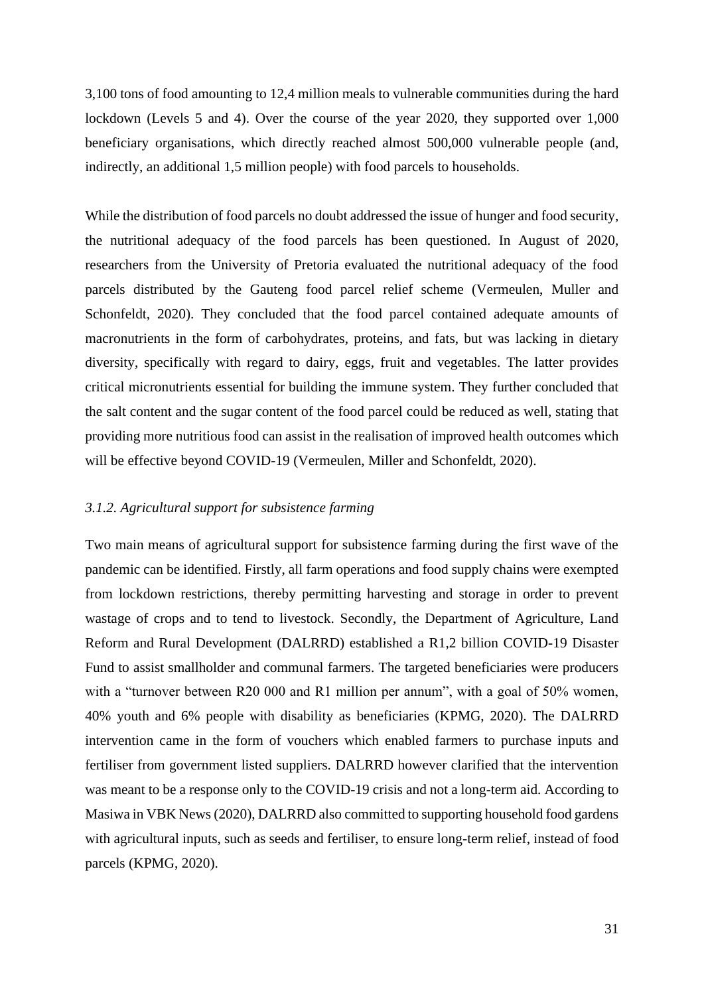3,100 tons of food amounting to 12,4 million meals to vulnerable communities during the hard lockdown (Levels 5 and 4). Over the course of the year 2020, they supported over 1,000 beneficiary organisations, which directly reached almost 500,000 vulnerable people (and, indirectly, an additional 1,5 million people) with food parcels to households.

While the distribution of food parcels no doubt addressed the issue of hunger and food security, the nutritional adequacy of the food parcels has been questioned. In August of 2020, researchers from the University of Pretoria evaluated the nutritional adequacy of the food parcels distributed by the Gauteng food parcel relief scheme (Vermeulen, Muller and Schonfeldt, 2020). They concluded that the food parcel contained adequate amounts of macronutrients in the form of carbohydrates, proteins, and fats, but was lacking in dietary diversity, specifically with regard to dairy, eggs, fruit and vegetables. The latter provides critical micronutrients essential for building the immune system. They further concluded that the salt content and the sugar content of the food parcel could be reduced as well, stating that providing more nutritious food can assist in the realisation of improved health outcomes which will be effective beyond COVID-19 (Vermeulen, Miller and Schonfeldt, 2020).

#### <span id="page-30-0"></span>*3.1.2. Agricultural support for subsistence farming*

Two main means of agricultural support for subsistence farming during the first wave of the pandemic can be identified. Firstly, all farm operations and food supply chains were exempted from lockdown restrictions, thereby permitting harvesting and storage in order to prevent wastage of crops and to tend to livestock. Secondly, the Department of Agriculture, Land Reform and Rural Development (DALRRD) established a R1,2 billion COVID-19 Disaster Fund to assist smallholder and communal farmers. The targeted beneficiaries were producers with a "turnover between R20 000 and R1 million per annum", with a goal of 50% women, 40% youth and 6% people with disability as beneficiaries (KPMG, 2020). The DALRRD intervention came in the form of vouchers which enabled farmers to purchase inputs and fertiliser from government listed suppliers. DALRRD however clarified that the intervention was meant to be a response only to the COVID-19 crisis and not a long-term aid. According to Masiwa in VBK News (2020), DALRRD also committed to supporting household food gardens with agricultural inputs, such as seeds and fertiliser, to ensure long-term relief, instead of food parcels (KPMG, 2020).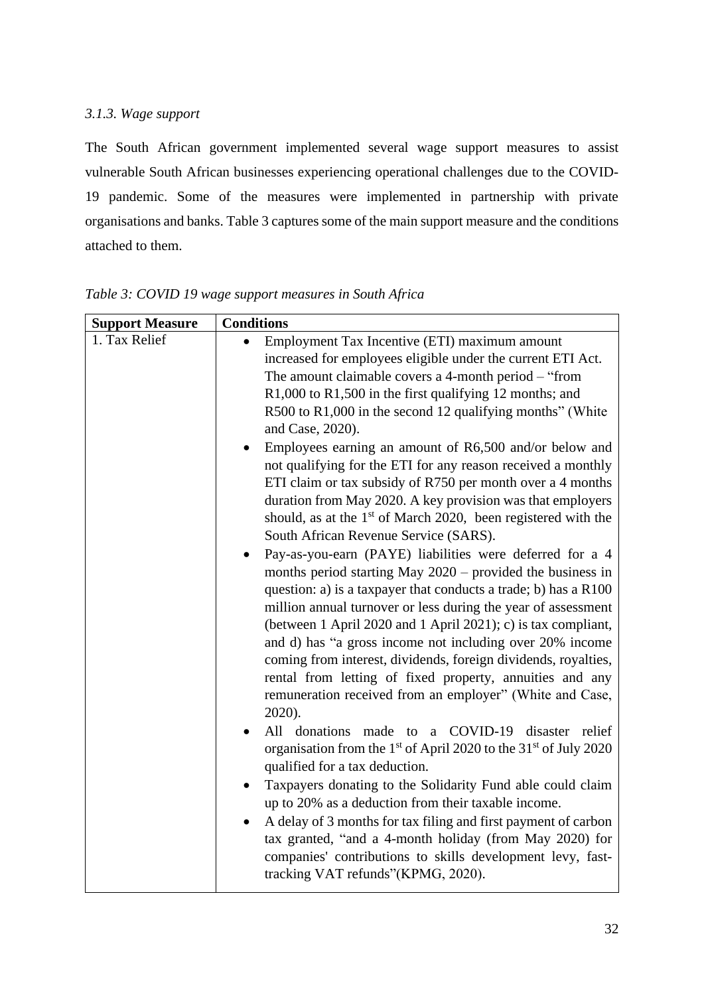## <span id="page-31-0"></span>*3.1.3. Wage support*

The South African government implemented several wage support measures to assist vulnerable South African businesses experiencing operational challenges due to the COVID-19 pandemic. Some of the measures were implemented in partnership with private organisations and banks. Table 3 captures some of the main support measure and the conditions attached to them.

| <b>Support Measure</b> | <b>Conditions</b>                                                                                                                                                                                                                                                                                                                                                                                                                                                                                                                                                                             |  |  |
|------------------------|-----------------------------------------------------------------------------------------------------------------------------------------------------------------------------------------------------------------------------------------------------------------------------------------------------------------------------------------------------------------------------------------------------------------------------------------------------------------------------------------------------------------------------------------------------------------------------------------------|--|--|
| 1. Tax Relief          | Employment Tax Incentive (ETI) maximum amount                                                                                                                                                                                                                                                                                                                                                                                                                                                                                                                                                 |  |  |
|                        | increased for employees eligible under the current ETI Act.                                                                                                                                                                                                                                                                                                                                                                                                                                                                                                                                   |  |  |
|                        | The amount claimable covers a 4-month period – "from                                                                                                                                                                                                                                                                                                                                                                                                                                                                                                                                          |  |  |
|                        | R1,000 to R1,500 in the first qualifying 12 months; and                                                                                                                                                                                                                                                                                                                                                                                                                                                                                                                                       |  |  |
|                        | R500 to R1,000 in the second 12 qualifying months" (White<br>and Case, 2020).                                                                                                                                                                                                                                                                                                                                                                                                                                                                                                                 |  |  |
|                        | Employees earning an amount of R6,500 and/or below and<br>not qualifying for the ETI for any reason received a monthly<br>ETI claim or tax subsidy of R750 per month over a 4 months<br>duration from May 2020. A key provision was that employers<br>should, as at the 1 <sup>st</sup> of March 2020, been registered with the<br>South African Revenue Service (SARS).                                                                                                                                                                                                                      |  |  |
|                        | Pay-as-you-earn (PAYE) liabilities were deferred for a 4<br>months period starting May $2020$ – provided the business in<br>question: a) is a taxpayer that conducts a trade; b) has a R100<br>million annual turnover or less during the year of assessment<br>(between 1 April 2020 and 1 April 2021); c) is tax compliant,<br>and d) has "a gross income not including over 20% income<br>coming from interest, dividends, foreign dividends, royalties,<br>rental from letting of fixed property, annuities and any<br>remuneration received from an employer" (White and Case,<br>2020). |  |  |
|                        | a COVID-19<br>All donations made to<br>disaster relief<br>organisation from the 1 <sup>st</sup> of April 2020 to the $31st$ of July 2020<br>qualified for a tax deduction.                                                                                                                                                                                                                                                                                                                                                                                                                    |  |  |
|                        | Taxpayers donating to the Solidarity Fund able could claim<br>up to 20% as a deduction from their taxable income.                                                                                                                                                                                                                                                                                                                                                                                                                                                                             |  |  |
|                        | A delay of 3 months for tax filing and first payment of carbon<br>tax granted, "and a 4-month holiday (from May 2020) for<br>companies' contributions to skills development levy, fast-<br>tracking VAT refunds"(KPMG, 2020).                                                                                                                                                                                                                                                                                                                                                                 |  |  |

*Table 3: COVID 19 wage support measures in South Africa*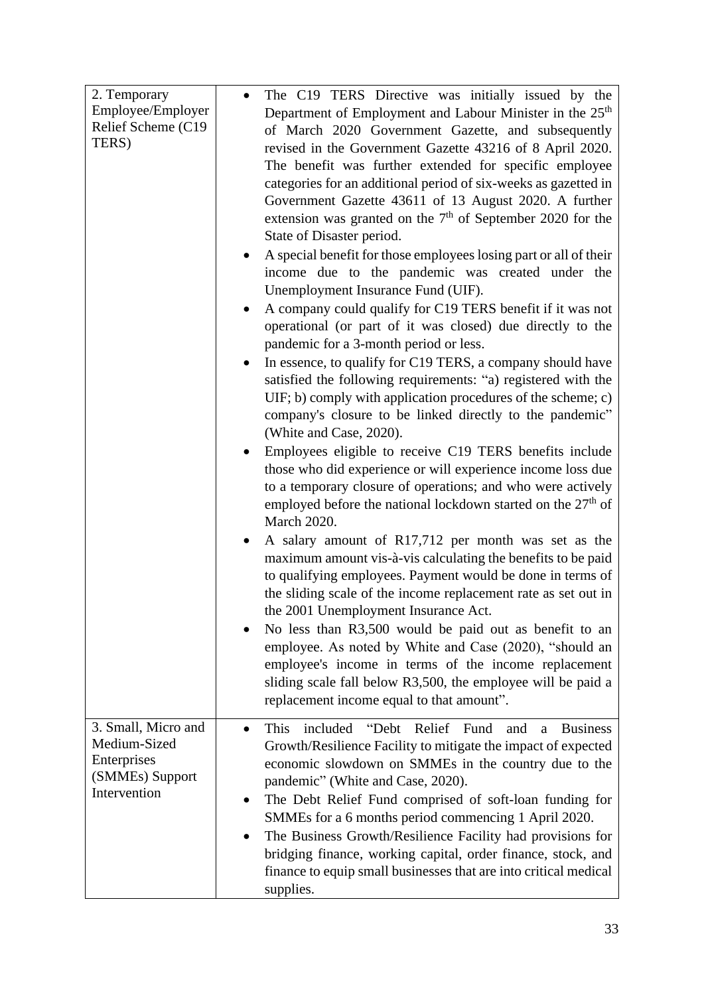| 2. Temporary<br>Employee/Employer<br>Relief Scheme (C19)<br>TERS)                     | The C19 TERS Directive was initially issued by the<br>Department of Employment and Labour Minister in the 25 <sup>th</sup><br>of March 2020 Government Gazette, and subsequently<br>revised in the Government Gazette 43216 of 8 April 2020.<br>The benefit was further extended for specific employee<br>categories for an additional period of six-weeks as gazetted in<br>Government Gazette 43611 of 13 August 2020. A further<br>extension was granted on the $7th$ of September 2020 for the<br>State of Disaster period.                           |                      |
|---------------------------------------------------------------------------------------|-----------------------------------------------------------------------------------------------------------------------------------------------------------------------------------------------------------------------------------------------------------------------------------------------------------------------------------------------------------------------------------------------------------------------------------------------------------------------------------------------------------------------------------------------------------|----------------------|
|                                                                                       | A special benefit for those employees losing part or all of their<br>income due to the pandemic was created under the<br>Unemployment Insurance Fund (UIF).<br>A company could qualify for C19 TERS benefit if it was not<br>$\bullet$<br>operational (or part of it was closed) due directly to the                                                                                                                                                                                                                                                      |                      |
|                                                                                       | pandemic for a 3-month period or less.<br>In essence, to qualify for C19 TERS, a company should have<br>satisfied the following requirements: "a) registered with the<br>UIF; b) comply with application procedures of the scheme; c)<br>company's closure to be linked directly to the pandemic"<br>(White and Case, 2020).                                                                                                                                                                                                                              |                      |
|                                                                                       | Employees eligible to receive C19 TERS benefits include<br>those who did experience or will experience income loss due<br>to a temporary closure of operations; and who were actively<br>employed before the national lockdown started on the $27th$ of<br>March 2020.                                                                                                                                                                                                                                                                                    |                      |
|                                                                                       | A salary amount of R17,712 per month was set as the<br>maximum amount vis-à-vis calculating the benefits to be paid<br>to qualifying employees. Payment would be done in terms of<br>the sliding scale of the income replacement rate as set out in<br>the 2001 Unemployment Insurance Act.                                                                                                                                                                                                                                                               |                      |
|                                                                                       | No less than R3,500 would be paid out as benefit to an<br>employee. As noted by White and Case (2020), "should an<br>employee's income in terms of the income replacement<br>sliding scale fall below R3,500, the employee will be paid a<br>replacement income equal to that amount".                                                                                                                                                                                                                                                                    |                      |
| 3. Small, Micro and<br>Medium-Sized<br>Enterprises<br>(SMMEs) Support<br>Intervention | "Debt Relief Fund<br>This<br>included<br>and<br>$\bullet$<br>Growth/Resilience Facility to mitigate the impact of expected<br>economic slowdown on SMMEs in the country due to the<br>pandemic" (White and Case, 2020).<br>The Debt Relief Fund comprised of soft-loan funding for<br>SMMEs for a 6 months period commencing 1 April 2020.<br>The Business Growth/Resilience Facility had provisions for<br>bridging finance, working capital, order finance, stock, and<br>finance to equip small businesses that are into critical medical<br>supplies. | <b>Business</b><br>a |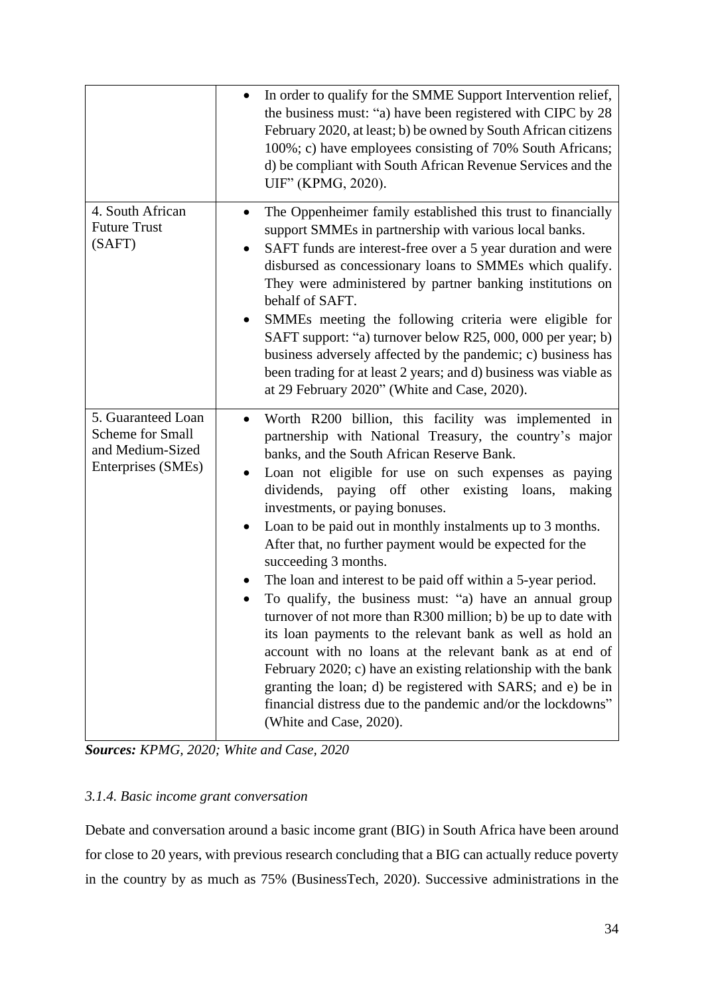|                                                                                         | In order to qualify for the SMME Support Intervention relief,<br>$\bullet$<br>the business must: "a) have been registered with CIPC by 28<br>February 2020, at least; b) be owned by South African citizens<br>100%; c) have employees consisting of 70% South Africans;<br>d) be compliant with South African Revenue Services and the<br>UIF" (KPMG, 2020).                                                                                                                                                                                                                                                                                                                                                                                                                                                                                                                                                                                                                                                                                |
|-----------------------------------------------------------------------------------------|----------------------------------------------------------------------------------------------------------------------------------------------------------------------------------------------------------------------------------------------------------------------------------------------------------------------------------------------------------------------------------------------------------------------------------------------------------------------------------------------------------------------------------------------------------------------------------------------------------------------------------------------------------------------------------------------------------------------------------------------------------------------------------------------------------------------------------------------------------------------------------------------------------------------------------------------------------------------------------------------------------------------------------------------|
| 4. South African<br><b>Future Trust</b><br>(SAFT)                                       | The Oppenheimer family established this trust to financially<br>support SMMEs in partnership with various local banks.<br>SAFT funds are interest-free over a 5 year duration and were<br>disbursed as concessionary loans to SMMEs which qualify.<br>They were administered by partner banking institutions on<br>behalf of SAFT.<br>SMMEs meeting the following criteria were eligible for<br>SAFT support: "a) turnover below R25, 000, 000 per year; b)<br>business adversely affected by the pandemic; c) business has<br>been trading for at least 2 years; and d) business was viable as<br>at 29 February 2020" (White and Case, 2020).                                                                                                                                                                                                                                                                                                                                                                                              |
| 5. Guaranteed Loan<br><b>Scheme for Small</b><br>and Medium-Sized<br>Enterprises (SMEs) | Worth R200 billion, this facility was implemented in<br>partnership with National Treasury, the country's major<br>banks, and the South African Reserve Bank.<br>Loan not eligible for use on such expenses as paying<br>$\bullet$<br>dividends, paying off other existing loans,<br>making<br>investments, or paying bonuses.<br>Loan to be paid out in monthly instalments up to 3 months.<br>$\bullet$<br>After that, no further payment would be expected for the<br>succeeding 3 months.<br>The loan and interest to be paid off within a 5-year period.<br>To qualify, the business must: "a) have an annual group<br>turnover of not more than R300 million; b) be up to date with<br>its loan payments to the relevant bank as well as hold an<br>account with no loans at the relevant bank as at end of<br>February 2020; c) have an existing relationship with the bank<br>granting the loan; d) be registered with SARS; and e) be in<br>financial distress due to the pandemic and/or the lockdowns"<br>(White and Case, 2020). |

*Sources: KPMG, 2020; White and Case, 2020*

## <span id="page-33-0"></span>*3.1.4. Basic income grant conversation*

Debate and conversation around a basic income grant (BIG) in South Africa have been around for close to 20 years, with previous research concluding that a BIG can actually reduce poverty in the country by as much as 75% (BusinessTech, 2020). Successive administrations in the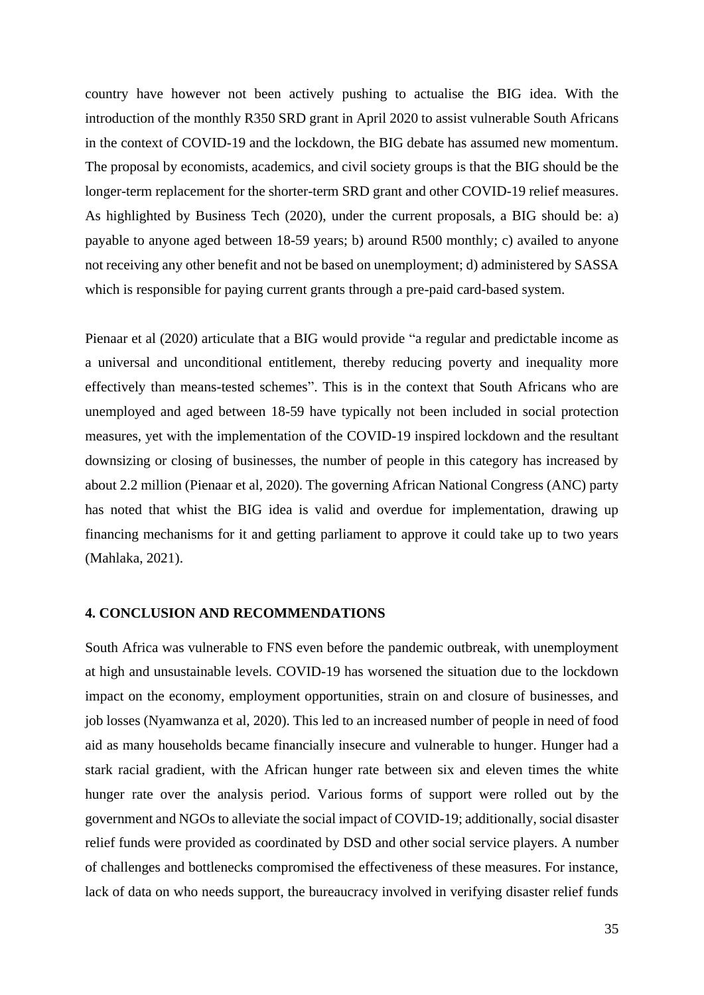country have however not been actively pushing to actualise the BIG idea. With the introduction of the monthly R350 SRD grant in April 2020 to assist vulnerable South Africans in the context of COVID-19 and the lockdown, the BIG debate has assumed new momentum. The proposal by economists, academics, and civil society groups is that the BIG should be the longer-term replacement for the shorter-term SRD grant and other COVID-19 relief measures. As highlighted by Business Tech (2020), under the current proposals, a BIG should be: a) payable to anyone aged between 18-59 years; b) around R500 monthly; c) availed to anyone not receiving any other benefit and not be based on unemployment; d) administered by SASSA which is responsible for paying current grants through a pre-paid card-based system.

Pienaar et al (2020) articulate that a BIG would provide "a regular and predictable income as a universal and unconditional entitlement, thereby reducing poverty and inequality more effectively than means-tested schemes". This is in the context that South Africans who are unemployed and aged between 18-59 have typically not been included in social protection measures, yet with the implementation of the COVID-19 inspired lockdown and the resultant downsizing or closing of businesses, the number of people in this category has increased by about 2.2 million (Pienaar et al, 2020). The governing African National Congress (ANC) party has noted that whist the BIG idea is valid and overdue for implementation, drawing up financing mechanisms for it and getting parliament to approve it could take up to two years (Mahlaka, 2021).

#### <span id="page-34-0"></span>**4. CONCLUSION AND RECOMMENDATIONS**

South Africa was vulnerable to FNS even before the pandemic outbreak, with unemployment at high and unsustainable levels. COVID-19 has worsened the situation due to the lockdown impact on the economy, employment opportunities, strain on and closure of businesses, and job losses (Nyamwanza et al, 2020). This led to an increased number of people in need of food aid as many households became financially insecure and vulnerable to hunger. Hunger had a stark racial gradient, with the African hunger rate between six and eleven times the white hunger rate over the analysis period. Various forms of support were rolled out by the government and NGOs to alleviate the social impact of COVID-19; additionally, social disaster relief funds were provided as coordinated by DSD and other social service players. A number of challenges and bottlenecks compromised the effectiveness of these measures. For instance, lack of data on who needs support, the bureaucracy involved in verifying disaster relief funds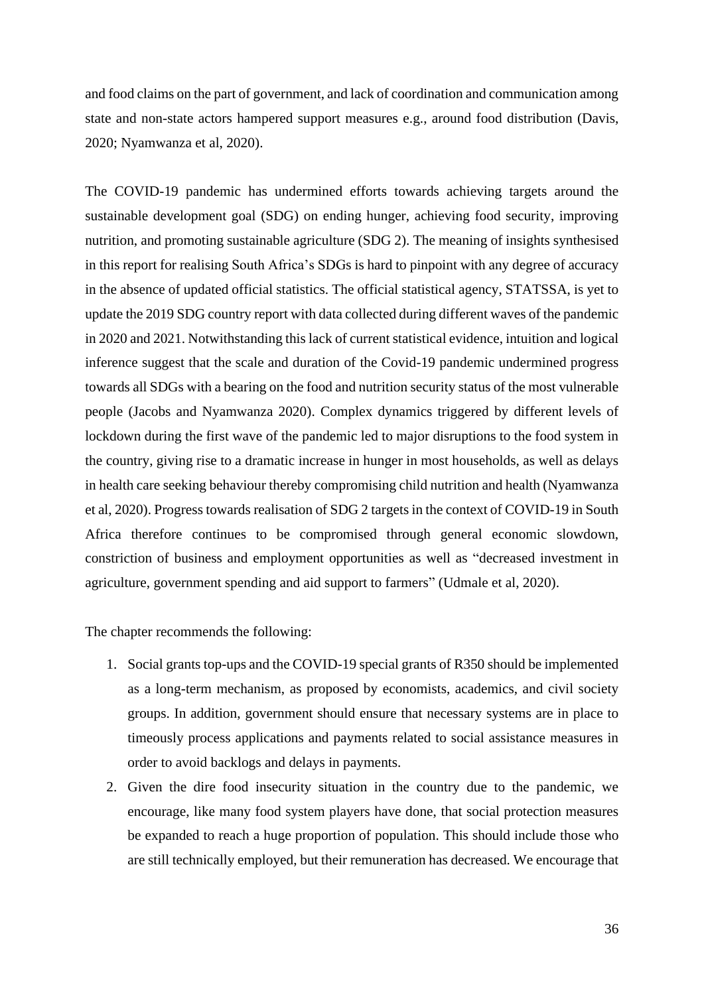and food claims on the part of government, and lack of coordination and communication among state and non-state actors hampered support measures e.g., around food distribution (Davis, 2020; Nyamwanza et al, 2020).

The COVID-19 pandemic has undermined efforts towards achieving targets around the sustainable development goal (SDG) on ending hunger, achieving food security, improving nutrition, and promoting sustainable agriculture (SDG 2). The meaning of insights synthesised in this report for realising South Africa's SDGs is hard to pinpoint with any degree of accuracy in the absence of updated official statistics. The official statistical agency, STATSSA, is yet to update the 2019 SDG country report with data collected during different waves of the pandemic in 2020 and 2021. Notwithstanding this lack of current statistical evidence, intuition and logical inference suggest that the scale and duration of the Covid-19 pandemic undermined progress towards all SDGs with a bearing on the food and nutrition security status of the most vulnerable people (Jacobs and Nyamwanza 2020). Complex dynamics triggered by different levels of lockdown during the first wave of the pandemic led to major disruptions to the food system in the country, giving rise to a dramatic increase in hunger in most households, as well as delays in health care seeking behaviour thereby compromising child nutrition and health (Nyamwanza et al, 2020). Progress towards realisation of SDG 2 targets in the context of COVID-19 in South Africa therefore continues to be compromised through general economic slowdown, constriction of business and employment opportunities as well as "decreased investment in agriculture, government spending and aid support to farmers" (Udmale et al, 2020).

The chapter recommends the following:

- 1. Social grants top-ups and the COVID-19 special grants of R350 should be implemented as a long-term mechanism, as proposed by economists, academics, and civil society groups. In addition, government should ensure that necessary systems are in place to timeously process applications and payments related to social assistance measures in order to avoid backlogs and delays in payments.
- 2. Given the dire food insecurity situation in the country due to the pandemic, we encourage, like many food system players have done, that social protection measures be expanded to reach a huge proportion of population. This should include those who are still technically employed, but their remuneration has decreased. We encourage that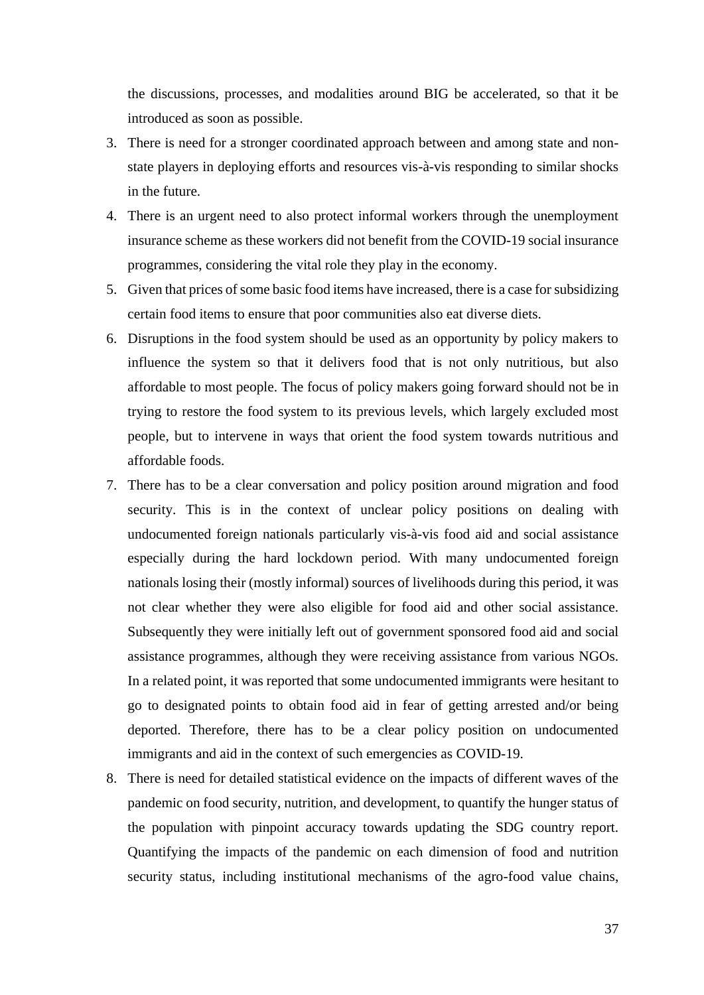the discussions, processes, and modalities around BIG be accelerated, so that it be introduced as soon as possible.

- 3. There is need for a stronger coordinated approach between and among state and nonstate players in deploying efforts and resources vis-à-vis responding to similar shocks in the future.
- 4. There is an urgent need to also protect informal workers through the unemployment insurance scheme as these workers did not benefit from the COVID-19 social insurance programmes, considering the vital role they play in the economy.
- 5. Given that prices of some basic food items have increased, there is a case for subsidizing certain food items to ensure that poor communities also eat diverse diets.
- 6. Disruptions in the food system should be used as an opportunity by policy makers to influence the system so that it delivers food that is not only nutritious, but also affordable to most people. The focus of policy makers going forward should not be in trying to restore the food system to its previous levels, which largely excluded most people, but to intervene in ways that orient the food system towards nutritious and affordable foods.
- 7. There has to be a clear conversation and policy position around migration and food security. This is in the context of unclear policy positions on dealing with undocumented foreign nationals particularly vis-à-vis food aid and social assistance especially during the hard lockdown period. With many undocumented foreign nationals losing their (mostly informal) sources of livelihoods during this period, it was not clear whether they were also eligible for food aid and other social assistance. Subsequently they were initially left out of government sponsored food aid and social assistance programmes, although they were receiving assistance from various NGOs. In a related point, it was reported that some undocumented immigrants were hesitant to go to designated points to obtain food aid in fear of getting arrested and/or being deported. Therefore, there has to be a clear policy position on undocumented immigrants and aid in the context of such emergencies as COVID-19.
- 8. There is need for detailed statistical evidence on the impacts of different waves of the pandemic on food security, nutrition, and development, to quantify the hunger status of the population with pinpoint accuracy towards updating the SDG country report. Quantifying the impacts of the pandemic on each dimension of food and nutrition security status, including institutional mechanisms of the agro-food value chains,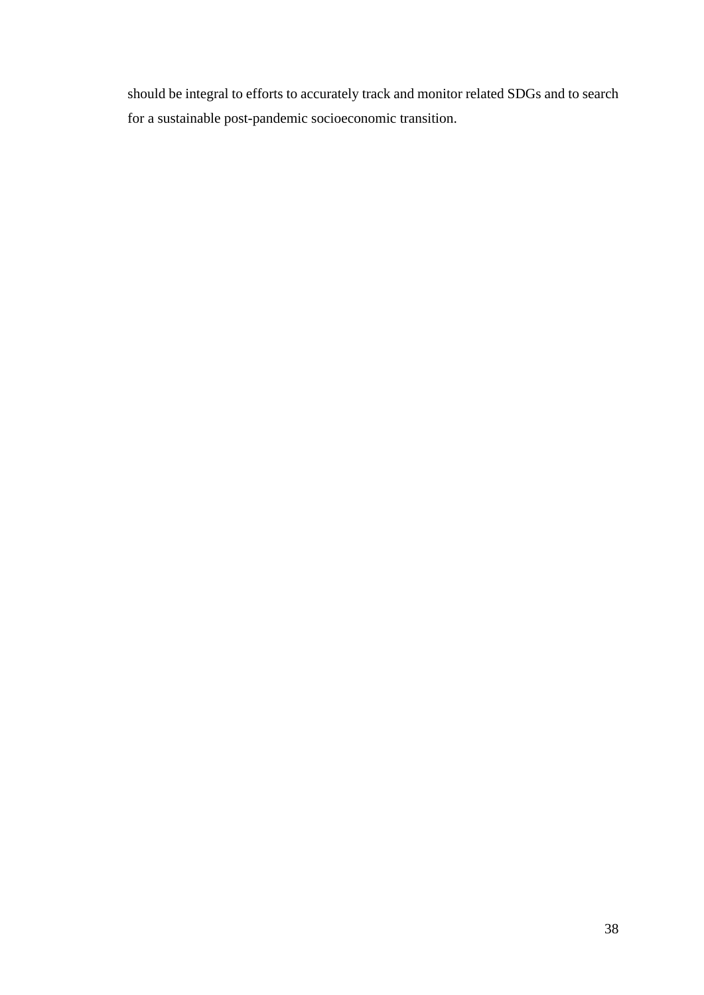should be integral to efforts to accurately track and monitor related SDGs and to search for a sustainable post-pandemic socioeconomic transition.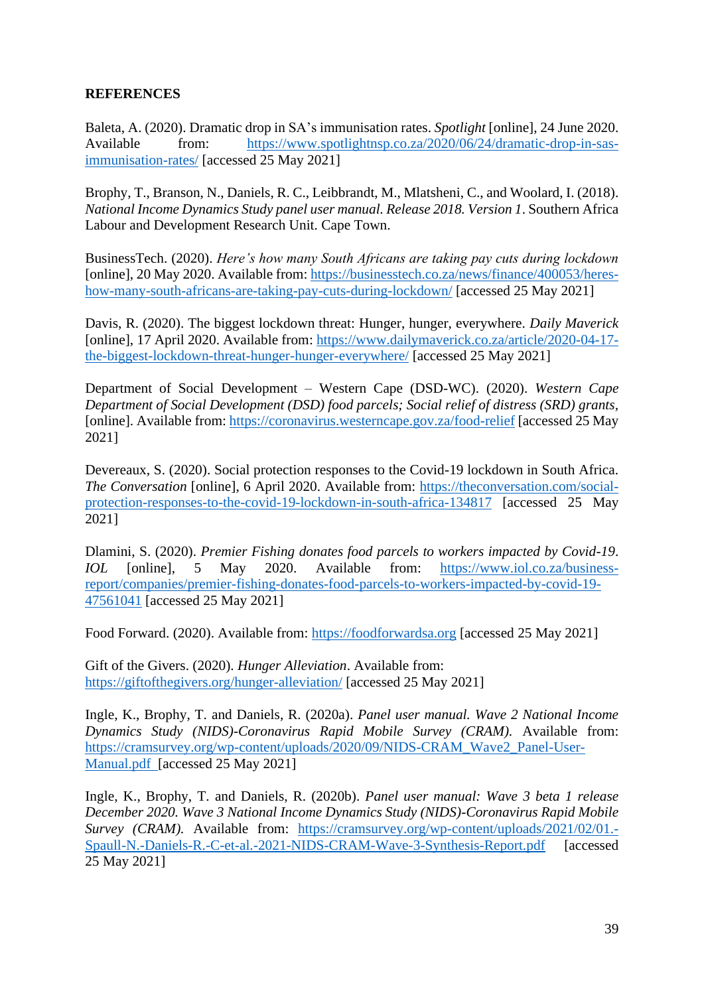## <span id="page-38-0"></span>**REFERENCES**

Baleta, A. (2020). Dramatic drop in SA's immunisation rates. *Spotlight* [online], 24 June 2020. Available from: [https://www.spotlightnsp.co.za/2020/06/24/dramatic-drop-in-sas](https://www.spotlightnsp.co.za/2020/06/24/dramatic-drop-in-sas-immunisation-rates/)[immunisation-rates/](https://www.spotlightnsp.co.za/2020/06/24/dramatic-drop-in-sas-immunisation-rates/) [accessed 25 May 2021]

Brophy, T., Branson, N., Daniels, R. C., Leibbrandt, M., Mlatsheni, C., and Woolard, I. (2018). *National Income Dynamics Study panel user manual. Release 2018. Version 1*. Southern Africa Labour and Development Research Unit. Cape Town.

BusinessTech. (2020). *Here's how many South Africans are taking pay cuts during lockdown* [online], 20 May 2020. Available from: [https://businesstech.co.za/news/finance/400053/heres](https://businesstech.co.za/news/finance/400053/heres-how-many-south-africans-are-taking-pay-cuts-during-lockdown/)[how-many-south-africans-are-taking-pay-cuts-during-lockdown/](https://businesstech.co.za/news/finance/400053/heres-how-many-south-africans-are-taking-pay-cuts-during-lockdown/) [accessed 25 May 2021]

Davis, R. (2020). The biggest lockdown threat: Hunger, hunger, everywhere. *Daily Maverick*  [online], 17 April 2020. Available from: [https://www.dailymaverick.co.za/article/2020-04-17](https://www.dailymaverick.co.za/article/2020-04-17-the-biggest-lockdown-threat-hunger-hunger-everywhere/) [the-biggest-lockdown-threat-hunger-hunger-everywhere/](https://www.dailymaverick.co.za/article/2020-04-17-the-biggest-lockdown-threat-hunger-hunger-everywhere/) [accessed 25 May 2021]

Department of Social Development – Western Cape (DSD-WC). (2020). *Western Cape Department of Social Development (DSD) food parcels; Social relief of distress (SRD) grants,*  [online]. Available from: <https://coronavirus.westerncape.gov.za/food-relief> [accessed 25 May 2021]

Devereaux, S. (2020). Social protection responses to the Covid-19 lockdown in South Africa. *The Conversation* [online], 6 April 2020. Available from: [https://theconversation.com/social](https://theconversation.com/social-protection-responses-to-the-covid-19-lockdown-in-south-africa-134817)[protection-responses-to-the-covid-19-lockdown-in-south-africa-134817](https://theconversation.com/social-protection-responses-to-the-covid-19-lockdown-in-south-africa-134817) [accessed 25 May 2021]

Dlamini, S. (2020). *Premier Fishing donates food parcels to workers impacted by Covid-19*. *IOL* [online], 5 May 2020. Available from: [https://www.iol.co.za/business](https://www.iol.co.za/business-report/companies/premier-fishing-donates-food-parcels-to-workers-impacted-by-covid-19-47561041)[report/companies/premier-fishing-donates-food-parcels-to-workers-impacted-by-covid-19-](https://www.iol.co.za/business-report/companies/premier-fishing-donates-food-parcels-to-workers-impacted-by-covid-19-47561041) [47561041](https://www.iol.co.za/business-report/companies/premier-fishing-donates-food-parcels-to-workers-impacted-by-covid-19-47561041) [accessed 25 May 2021]

Food Forward. (2020). Available from: [https://foodforwardsa.org](https://foodforwardsa.org/) [accessed 25 May 2021]

Gift of the Givers. (2020). *Hunger Alleviation*. Available from: <https://giftofthegivers.org/hunger-alleviation/> [accessed 25 May 2021]

Ingle, K., Brophy, T. and Daniels, R. (2020a). *Panel user manual. Wave 2 National Income Dynamics Study (NIDS)-Coronavirus Rapid Mobile Survey (CRAM).* Available from: [https://cramsurvey.org/wp-content/uploads/2020/09/NIDS-CRAM\\_Wave2\\_Panel-User-](https://cramsurvey.org/wp-content/uploads/2020/09/NIDS-CRAM_Wave2_Panel-User-Manual.pdf)[Manual.pdf](https://cramsurvey.org/wp-content/uploads/2020/09/NIDS-CRAM_Wave2_Panel-User-Manual.pdf) [accessed 25 May 2021]

Ingle, K., Brophy, T. and Daniels, R. (2020b). *Panel user manual: Wave 3 beta 1 release December 2020. Wave 3 National Income Dynamics Study (NIDS)-Coronavirus Rapid Mobile Survey (CRAM).* Available from: [https://cramsurvey.org/wp-content/uploads/2021/02/01.-](https://cramsurvey.org/wp-content/uploads/2021/02/01.-Spaull-N.-Daniels-R.-C-et-al.-2021-NIDS-CRAM-Wave-3-Synthesis-Report.pdf) [Spaull-N.-Daniels-R.-C-et-al.-2021-NIDS-CRAM-Wave-3-Synthesis-Report.pdf](https://cramsurvey.org/wp-content/uploads/2021/02/01.-Spaull-N.-Daniels-R.-C-et-al.-2021-NIDS-CRAM-Wave-3-Synthesis-Report.pdf) [accessed 25 May 2021]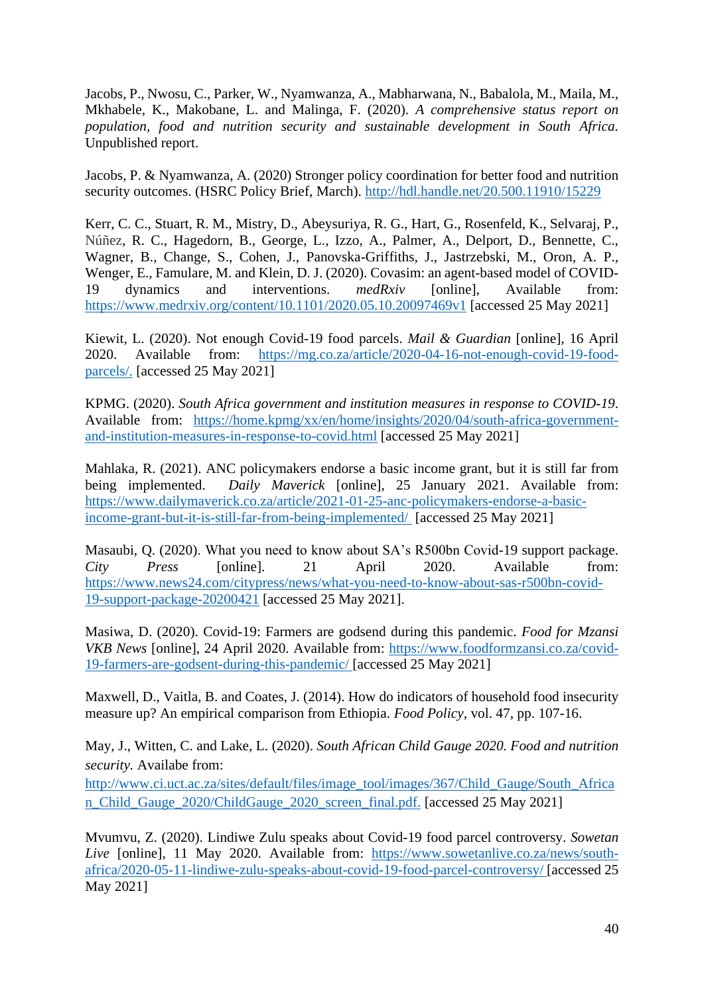Jacobs, P., Nwosu, C., Parker, W., Nyamwanza, A., Mabharwana, N., Babalola, M., Maila, M., Mkhabele, K., Makobane, L. and Malinga, F. (2020). *A comprehensive status report on population, food and nutrition security and sustainable development in South Africa.* Unpublished report.

Jacobs, P. & Nyamwanza, A. (2020) Stronger policy coordination for better food and nutrition security outcomes. (HSRC Policy Brief, March).<http://hdl.handle.net/20.500.11910/15229>

Kerr, C. C., Stuart, R. M., Mistry, D., Abeysuriya, R. G., Hart, G., Rosenfeld, K., Selvaraj, P., Núñez, R. C., Hagedorn, B., George, L., Izzo, A., Palmer, A., Delport, D., Bennette, C., Wagner, B., Change, S., Cohen, J., Panovska-Griffiths, J., Jastrzebski, M., Oron, A. P., Wenger, E., Famulare, M. and Klein, D. J. (2020). Covasim: an agent-based model of COVID-19 dynamics and interventions. *medRxiv* [online], Available from: <https://www.medrxiv.org/content/10.1101/2020.05.10.20097469v1> [accessed 25 May 2021]

Kiewit, L. (2020). Not enough Covid-19 food parcels. *Mail & Guardian* [online], 16 April 2020. Available from: [https://mg.co.za/article/2020-04-16-not-enough-covid-19-food](https://mg.co.za/article/2020-04-16-not-enough-covid-19-food-parcels/)[parcels/.](https://mg.co.za/article/2020-04-16-not-enough-covid-19-food-parcels/) [accessed 25 May 2021]

KPMG. (2020). *South Africa government and institution measures in response to COVID-19*. Available from: [https://home.kpmg/xx/en/home/insights/2020/04/south-africa-government](https://home.kpmg/xx/en/home/insights/2020/04/south-africa-government-and-institution-measures-in-response-to-covid.html)[and-institution-measures-in-response-to-covid.html](https://home.kpmg/xx/en/home/insights/2020/04/south-africa-government-and-institution-measures-in-response-to-covid.html) [accessed 25 May 2021]

Mahlaka, R. (2021). ANC policymakers endorse a basic income grant, but it is still far from being implemented. *Daily Maverick* [online], 25 January 2021. Available from: [https://www.dailymaverick.co.za/article/2021-01-25-anc-policymakers-endorse-a-basic](https://www.dailymaverick.co.za/article/2021-01-25-anc-policymakers-endorse-a-basic-income-grant-but-it-is-still-far-from-being-implemented/)[income-grant-but-it-is-still-far-from-being-implemented/](https://www.dailymaverick.co.za/article/2021-01-25-anc-policymakers-endorse-a-basic-income-grant-but-it-is-still-far-from-being-implemented/) [accessed 25 May 2021]

Masaubi, Q. (2020). What you need to know about SA's R500bn Covid-19 support package. *City Press* [online]. 21 April 2020. Available from: [https://www.news24.com/citypress/news/what-you-need-to-know-about-sas-r500bn-covid-](https://www.news24.com/citypress/news/what-you-need-to-know-about-sas-r500bn-covid-19-support-package-20200421)[19-support-package-20200421](https://www.news24.com/citypress/news/what-you-need-to-know-about-sas-r500bn-covid-19-support-package-20200421) [accessed 25 May 2021].

Masiwa, D. (2020). Covid-19: Farmers are godsend during this pandemic. *Food for Mzansi VKB News* [online], 24 April 2020. Available from: [https://www.foodformzansi.co.za/covid-](https://www.foodformzansi.co.za/covid-19-farmers-are-godsent-during-this-pandemic/)[19-farmers-are-godsent-during-this-pandemic/](https://www.foodformzansi.co.za/covid-19-farmers-are-godsent-during-this-pandemic/) [accessed 25 May 2021]

Maxwell, D., Vaitla, B. and Coates, J. (2014). How do indicators of household food insecurity measure up? An empirical comparison from Ethiopia. *Food Policy*, vol. 47, pp. 107-16.

May, J., Witten, C. and Lake, L. (2020). *South African Child Gauge 2020. Food and nutrition security.* Availabe from:

[http://www.ci.uct.ac.za/sites/default/files/image\\_tool/images/367/Child\\_Gauge/South\\_Africa](http://www.ci.uct.ac.za/sites/default/files/image_tool/images/367/Child_Gauge/South_African_Child_Gauge_2020/ChildGauge_2020_screen_final.pdf) [n\\_Child\\_Gauge\\_2020/ChildGauge\\_2020\\_screen\\_final.pdf.](http://www.ci.uct.ac.za/sites/default/files/image_tool/images/367/Child_Gauge/South_African_Child_Gauge_2020/ChildGauge_2020_screen_final.pdf) [accessed 25 May 2021]

Mvumvu, Z. (2020). Lindiwe Zulu speaks about Covid-19 food parcel controversy. *Sowetan Live* [online], 11 May 2020. Available from: [https://www.sowetanlive.co.za/news/south](https://www.sowetanlive.co.za/news/south-africa/2020-05-11-lindiwe-zulu-speaks-about-covid-19-food-parcel-controversy/)[africa/2020-05-11-lindiwe-zulu-speaks-about-covid-19-food-parcel-controversy/](https://www.sowetanlive.co.za/news/south-africa/2020-05-11-lindiwe-zulu-speaks-about-covid-19-food-parcel-controversy/) [accessed 25 May 2021]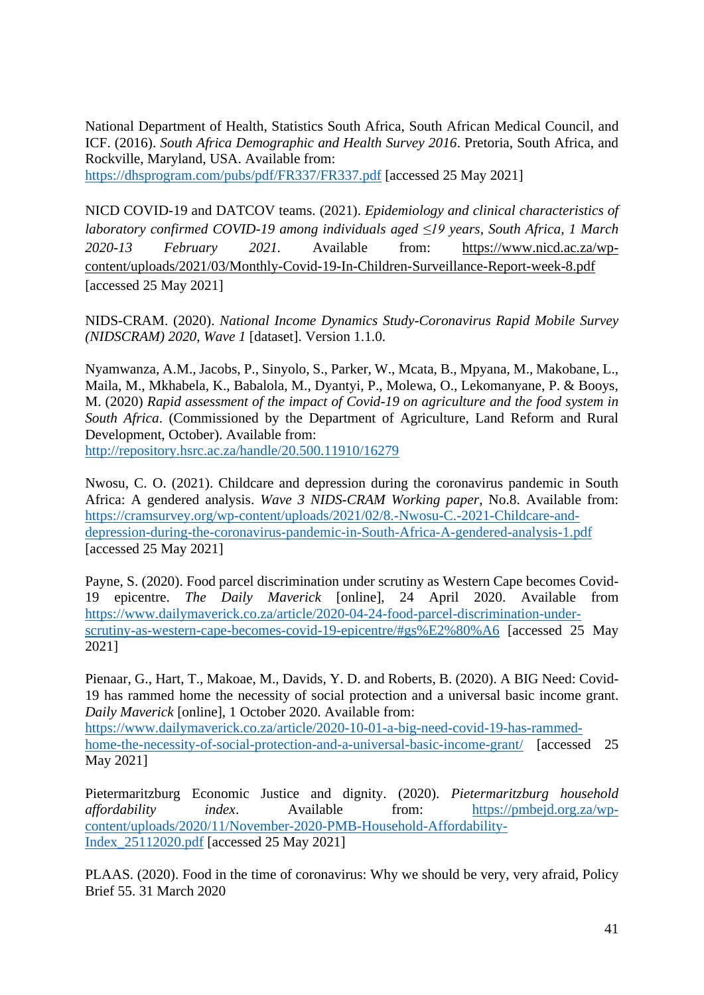National Department of Health, Statistics South Africa, South African Medical Council, and ICF. (2016). *South Africa Demographic and Health Survey 2016*. Pretoria, South Africa, and Rockville, Maryland, USA. Available from:

<https://dhsprogram.com/pubs/pdf/FR337/FR337.pdf> [accessed 25 May 2021]

NICD COVID-19 and DATCOV teams. (2021). *Epidemiology and clinical characteristics of laboratory confirmed COVID-19 among individuals aged ≤19 years, South Africa, 1 March 2020-13 February 2021.* Available from: [https://www.nicd.ac.za/wp](https://www.nicd.ac.za/wp-content/uploads/2021/03/Monthly-Covid-19-In-Children-Surveillance-Report-week-8.pdf)[content/uploads/2021/03/Monthly-Covid-19-In-Children-Surveillance-Report-week-8.pdf](https://www.nicd.ac.za/wp-content/uploads/2021/03/Monthly-Covid-19-In-Children-Surveillance-Report-week-8.pdf) [accessed 25 May 2021]

NIDS-CRAM. (2020). *National Income Dynamics Study-Coronavirus Rapid Mobile Survey (NIDSCRAM) 2020, Wave 1* [dataset]. Version 1.1.0.

Nyamwanza, A.M., Jacobs, P., Sinyolo, S., Parker, W., Mcata, B., Mpyana, M., Makobane, L., Maila, M., Mkhabela, K., Babalola, M., Dyantyi, P., Molewa, O., Lekomanyane, P. & Booys, M. (2020) *Rapid assessment of the impact of Covid-19 on agriculture and the food system in South Africa*. (Commissioned by the Department of Agriculture, Land Reform and Rural Development, October). Available from:

<http://repository.hsrc.ac.za/handle/20.500.11910/16279>

Nwosu, C. O. (2021). Childcare and depression during the coronavirus pandemic in South Africa: A gendered analysis. *Wave 3 NIDS-CRAM Working paper*, No.8. Available from: [https://cramsurvey.org/wp-content/uploads/2021/02/8.-Nwosu-C.-2021-Childcare-and](https://cramsurvey.org/wp-content/uploads/2021/02/8.-Nwosu-C.-2021-Childcare-and-depression-during-the-coronavirus-pandemic-in-South-Africa-A-gendered-analysis-1.pdf)[depression-during-the-coronavirus-pandemic-in-South-Africa-A-gendered-analysis-1.pdf](https://cramsurvey.org/wp-content/uploads/2021/02/8.-Nwosu-C.-2021-Childcare-and-depression-during-the-coronavirus-pandemic-in-South-Africa-A-gendered-analysis-1.pdf) [accessed 25 May 2021]

Payne, S. (2020). Food parcel discrimination under scrutiny as Western Cape becomes Covid-19 epicentre. *The Daily Maverick* [online], 24 April 2020. Available from [https://www.dailymaverick.co.za/article/2020-04-24-food-parcel-discrimination-under](https://www.dailymaverick.co.za/article/2020-04-24-food-parcel-discrimination-under-scrutiny-as-western-cape-becomes-covid-19-epicentre/#gs%E2%80%A6)[scrutiny-as-western-cape-becomes-covid-19-epicentre/#gs%E2%80%A6](https://www.dailymaverick.co.za/article/2020-04-24-food-parcel-discrimination-under-scrutiny-as-western-cape-becomes-covid-19-epicentre/#gs%E2%80%A6) [accessed 25 May 2021]

Pienaar, G., Hart, T., Makoae, M., Davids, Y. D. and Roberts, B. (2020). A BIG Need: Covid-19 has rammed home the necessity of social protection and a universal basic income grant. *Daily Maverick* [online], 1 October 2020. Available from:

[https://www.dailymaverick.co.za/article/2020-10-01-a-big-need-covid-19-has-rammed](https://www.dailymaverick.co.za/article/2020-10-01-a-big-need-covid-19-has-rammed-home-the-necessity-of-social-protection-and-a-universal-basic-income-grant/)[home-the-necessity-of-social-protection-and-a-universal-basic-income-grant/](https://www.dailymaverick.co.za/article/2020-10-01-a-big-need-covid-19-has-rammed-home-the-necessity-of-social-protection-and-a-universal-basic-income-grant/) [accessed 25 May 2021]

Pietermaritzburg Economic Justice and dignity. (2020). *Pietermaritzburg household affordability index*. Available from: [https://pmbejd.org.za/wp](https://pmbejd.org.za/wp-content/uploads/2020/11/November-2020-PMB-Household-Affordability-Index_25112020.pdf)[content/uploads/2020/11/November-2020-PMB-Household-Affordability-](https://pmbejd.org.za/wp-content/uploads/2020/11/November-2020-PMB-Household-Affordability-Index_25112020.pdf)[Index\\_25112020.pdf](https://pmbejd.org.za/wp-content/uploads/2020/11/November-2020-PMB-Household-Affordability-Index_25112020.pdf) [accessed 25 May 2021]

PLAAS. (2020). Food in the time of coronavirus: Why we should be very, very afraid, Policy Brief 55. 31 March 2020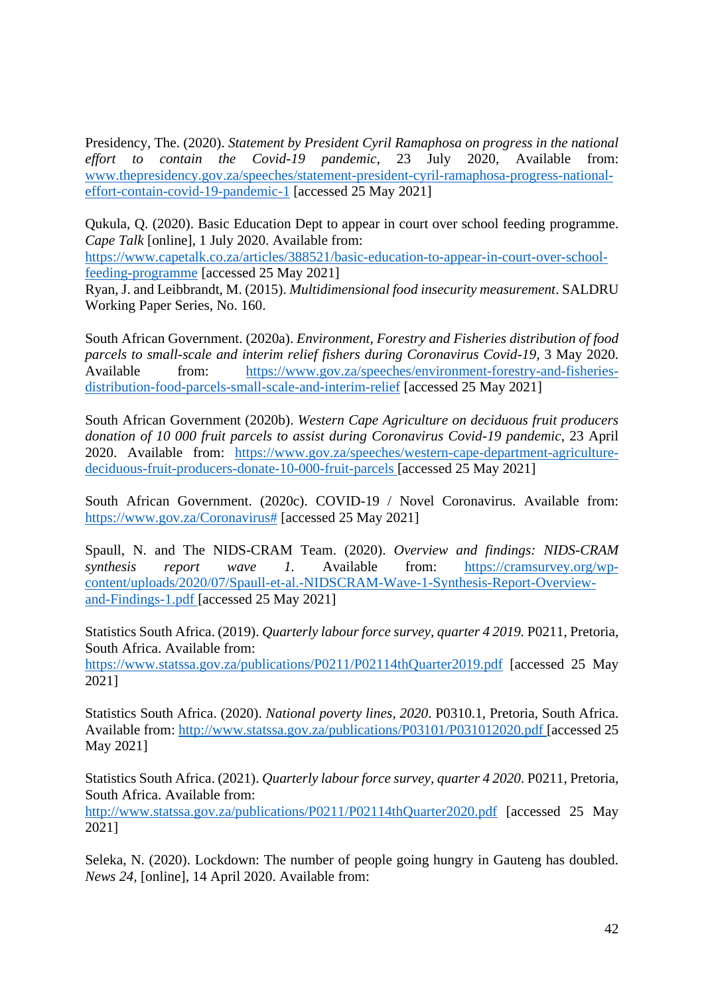Presidency, The. (2020). *Statement by President Cyril Ramaphosa on progress in the national effort to contain the Covid-19 pandemic*, 23 July 2020, Available from: [www.thepresidency.gov.za/speeches/statement-president-cyril-ramaphosa-progress-national](http://www.thepresidency.gov.za/speeches/statement-president-cyril-ramaphosa-progress-national-effort-contain-covid-19-pandemic-1)[effort-contain-covid-19-pandemic-1](http://www.thepresidency.gov.za/speeches/statement-president-cyril-ramaphosa-progress-national-effort-contain-covid-19-pandemic-1) [accessed 25 May 2021]

Qukula, Q. (2020). Basic Education Dept to appear in court over school feeding programme. *Cape Talk* [online], 1 July 2020. Available from:

[https://www.capetalk.co.za/articles/388521/basic-education-to-appear-in-court-over-school](https://www.capetalk.co.za/articles/388521/basic-education-to-appear-in-court-over-school-feeding-programme)[feeding-programme](https://www.capetalk.co.za/articles/388521/basic-education-to-appear-in-court-over-school-feeding-programme) [accessed 25 May 2021]

Ryan, J. and Leibbrandt, M. (2015). *Multidimensional food insecurity measurement*. SALDRU Working Paper Series, No. 160.

South African Government. (2020a). *Environment, Forestry and Fisheries distribution of food parcels to small-scale and interim relief fishers during Coronavirus Covid-19,* 3 May 2020. Available from: [https://www.gov.za/speeches/environment-forestry-and-fisheries](https://www.gov.za/speeches/environment-forestry-and-fisheries-distribution-food-parcels-small-scale-and-interim-relief)[distribution-food-parcels-small-scale-and-interim-relief](https://www.gov.za/speeches/environment-forestry-and-fisheries-distribution-food-parcels-small-scale-and-interim-relief) [accessed 25 May 2021]

South African Government (2020b). *Western Cape Agriculture on deciduous fruit producers donation of 10 000 fruit parcels to assist during Coronavirus Covid-19 pandemic*, 23 April 2020. Available from: [https://www.gov.za/speeches/western-cape-department-agriculture](https://www.gov.za/speeches/western-cape-department-agriculture-deciduous-fruit-producers-donate-10-000-fruit-parcels)[deciduous-fruit-producers-donate-10-000-fruit-parcels](https://www.gov.za/speeches/western-cape-department-agriculture-deciduous-fruit-producers-donate-10-000-fruit-parcels) [accessed 25 May 2021]

South African Government. (2020c). COVID-19 / Novel Coronavirus. Available from: [https://www.gov.za/Coronavirus#](https://www.gov.za/Coronavirus) [accessed 25 May 2021]

Spaull, N. and The NIDS-CRAM Team. (2020). *Overview and findings: NIDS-CRAM synthesis report wave 1.* Available from: [https://cramsurvey.org/wp](https://cramsurvey.org/wp-content/uploads/2020/07/Spaull-et-al.-NIDSCRAM-Wave-1-Synthesis-Report-Overview-and-Findings-1.pdf)[content/uploads/2020/07/Spaull-et-al.-NIDSCRAM-Wave-1-Synthesis-Report-Overview](https://cramsurvey.org/wp-content/uploads/2020/07/Spaull-et-al.-NIDSCRAM-Wave-1-Synthesis-Report-Overview-and-Findings-1.pdf)[and-Findings-1.pdf](https://cramsurvey.org/wp-content/uploads/2020/07/Spaull-et-al.-NIDSCRAM-Wave-1-Synthesis-Report-Overview-and-Findings-1.pdf) [accessed 25 May 2021]

Statistics South Africa. (2019). *Quarterly labour force survey, quarter 4 2019.* P0211, Pretoria, South Africa. Available from:

<https://www.statssa.gov.za/publications/P0211/P02114thQuarter2019.pdf> [accessed 25 May 2021]

Statistics South Africa. (2020). *National poverty lines, 2020*. P0310.1, Pretoria, South Africa. Available from: <http://www.statssa.gov.za/publications/P03101/P031012020.pdf> [accessed 25 May 2021]

Statistics South Africa. (2021). *Quarterly labour force survey, quarter 4 2020*. P0211, Pretoria, South Africa. Available from:

<http://www.statssa.gov.za/publications/P0211/P02114thQuarter2020.pdf> [accessed 25 May 2021]

Seleka, N. (2020). Lockdown: The number of people going hungry in Gauteng has doubled. *News 24,* [online], 14 April 2020. Available from: